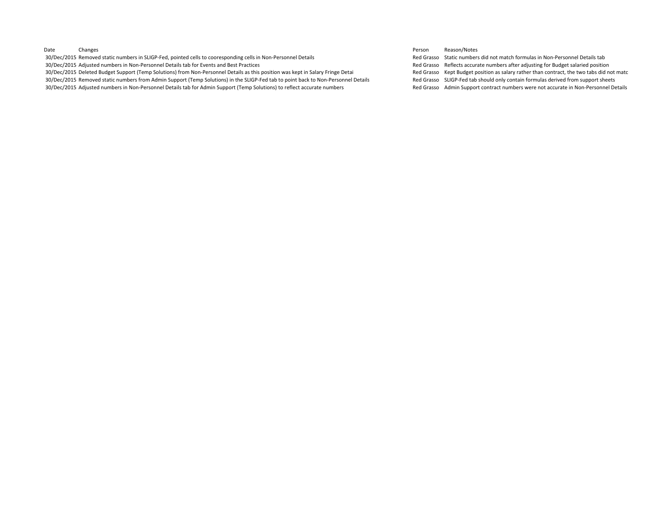30/Dec/2015 Removed static numbers in SLIGP-Fed, pointed cells to cooresponding cells in Non-Personnel Details to be a static numbers did not match formulas in Non-Personnel Details tab 30/Dec/2015 Adjusted numbers in Non-Personnel Details tab for Events and Best Practices and Rest Practices Red Grasso Reflects accurate numbers after adjusting for Budget salaried position

30/Dec/2015 Deleted Budget Support (Temp Solutions) from Non-Personnel Details as this position was kept in Salary Fringe Detai Red Grasso Kept Budget position as salary rather than contract, the two tabs did not matc 30/Dec/2015 Removed static numbers from Admin Support (Temp Solutions) in the SLIGP‐Fed tab to point back to Non‐Personnel Details Red Grasso SLIGP‐Fed tab should only contain formulas derived from support sheets

30/Dec/2015 Adjusted numbers in Non‐Personnel Details tab for Admin Support (Temp Solutions) to reflect accurate numbers Macurate numbers Red Grasso Admin Support contract numbers were not accurate in Non‐Personnel Details

#### Date Changes Person Reason/Notes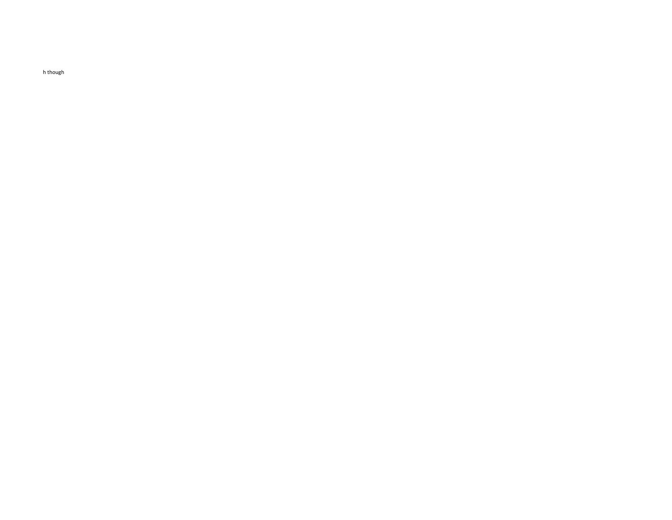h though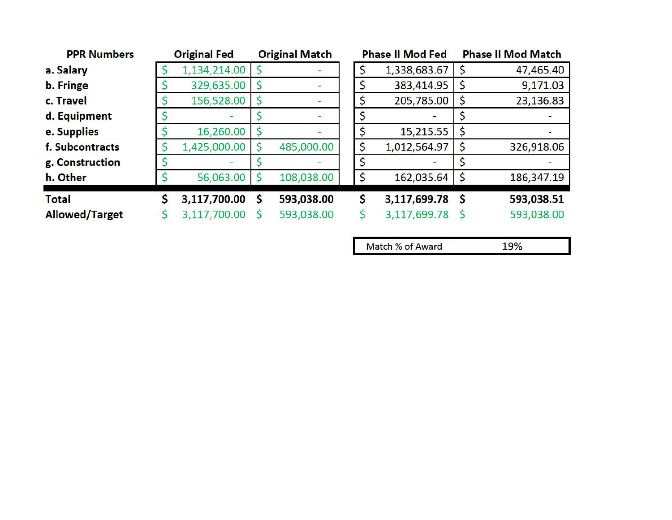| <b>PPR Numbers</b>    | <b>Original Fed</b> |   | <b>Original Match</b> |    | <b>Phase II Mod Fed</b> |              | <b>Phase II Mod Match</b> |
|-----------------------|---------------------|---|-----------------------|----|-------------------------|--------------|---------------------------|
| a. Salary             | 1,134,214.00        |   |                       | \$ | 1,338,683.67            | -S           | 47,465.40                 |
| b. Fringe             | 329,635.00          |   |                       |    | 383,414.95              |              | 9,171.03                  |
| c. Travel             | 156,528.00          |   |                       | Ś  | 205,785.00              | \$           | 23,136.83                 |
| d. Equipment          |                     |   |                       | Ś  |                         |              |                           |
| e. Supplies           | 16,260.00           |   |                       |    | 15,215.55               | \$           |                           |
| f. Subcontracts       | 1,425,000.00        |   | 485,000.00            | \$ | 1,012,564.97            | \$           | 326,918.06                |
| g. Construction       |                     |   |                       |    |                         |              |                           |
| h. Other              | 56,063.00           |   | 108,038.00            | \$ | 162,035.64              | <sup>S</sup> | 186,347.19                |
| <b>Total</b>          | 3,117,700.00        | S | 593,038.00            | S  | 3,117,699.78            | Ŝ            | 593,038.51                |
| <b>Allowed/Target</b> | 3,117,700.00        |   | 593,038.00            |    | 3,117,699.78            | S            | 593,038.00                |

Match % of Award 19%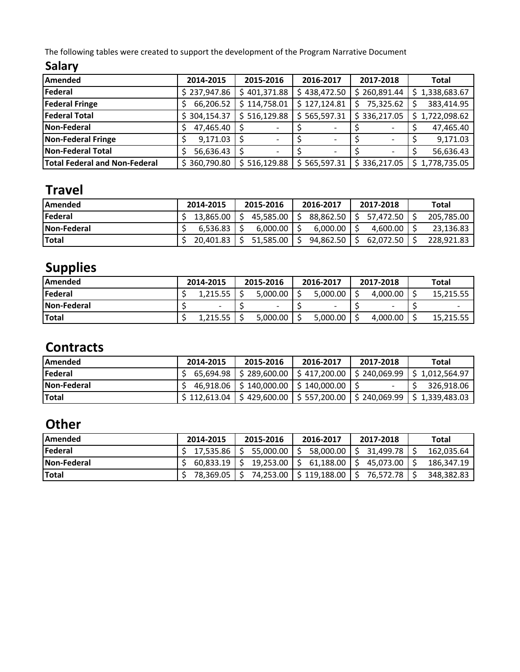The following tables were created to support the development of the Program Narrative Document

## **Salary**

| Amended                       | 2014-2015    | 2015-2016    | 2016-2017    | 2017-2018    | <b>Total</b>   |
|-------------------------------|--------------|--------------|--------------|--------------|----------------|
| Federal                       | \$237,947.86 | \$401,371.88 | \$438,472.50 | \$260,891.44 | \$1,338,683.67 |
| <b>Federal Fringe</b>         | 66,206.52    | \$114,758.01 | \$127,124.81 | 75,325.62    | 383,414.95     |
| <b>Federal Total</b>          | \$304,154.37 | \$516,129.88 | \$565,597.31 | \$336,217.05 | \$1,722,098.62 |
| <b>Non-Federal</b>            | 47,465.40    |              |              |              | 47,465.40      |
| Non-Federal Fringe            | 9,171.03     | -S           |              |              | 9,171.03       |
| Non-Federal Total             | 56,636.43    |              |              |              | 56,636.43      |
| Total Federal and Non-Federal | \$360,790.80 | \$516,129.88 | \$565,597.31 | \$336,217.05 | \$1,778,735.05 |

# **Travel**

| <b>IAmended</b>    | 2014-2015   | 2015-2016 |                  | 2016-2017 |                       |  | 2017-2018                  | Total      |
|--------------------|-------------|-----------|------------------|-----------|-----------------------|--|----------------------------|------------|
| <b>IFederal</b>    | 13.865.00 S |           | 45.585.00 S      |           |                       |  | $88,862.50$   \$ 57,472.50 | 205,785.00 |
| <b>Non-Federal</b> | 6.536.83    |           | 6.000.00         |           | 6.000.00              |  | 4.600.00                   | 23,136.83  |
| <b>ITotal</b>      | 20.401.83 S |           | $51,585.00$   \$ |           | $94,862.50$ $\mid$ \$ |  | 62.072.50                  | 228.921.83 |

# **Supplies**

| <b>IAmended</b>    | 2014-2015 |  | 2015-2016 | 2016-2017                | 2017-2018 | Total     |  |
|--------------------|-----------|--|-----------|--------------------------|-----------|-----------|--|
| <b>Federal</b>     | 1.215.55  |  | 5.000.00  | 5.000.00                 | 4.000.00  | 15.215.55 |  |
| <b>Non-Federal</b> |           |  | -         | $\overline{\phantom{0}}$ | -         |           |  |
| <b>ITotal</b>      | 1,215.55  |  | 5.000.00  | 5.000.00                 | 4.000.00  | 15,215.55 |  |

## **Contracts**

| <b>IAmended</b>    | 2014-2015 | 2015-2016 | 2016-2017                                    | 2017-2018 | Total                                                                      |
|--------------------|-----------|-----------|----------------------------------------------|-----------|----------------------------------------------------------------------------|
| <b>Federal</b>     |           |           |                                              |           | 65,694.98 S 289,600.00 S 417,200.00 S 240,069.99 S 1,012,564.97            |
| <b>Non-Federal</b> |           |           | 46,918.06   \$140,000.00   \$140,000.00   \$ |           | 326,918.06                                                                 |
| <b>Total</b>       |           |           |                                              |           | \$112,613.04   \$429,600.00   \$557,200.00   \$240,069.99   \$1,339,483.03 |

## **Other**

| <b>IAmended</b>    | 2014-2015     | 2015-2016   | 2016-2017                       | 2017-2018             | Total      |
|--------------------|---------------|-------------|---------------------------------|-----------------------|------------|
| <b>Federal</b>     | S 17.535.86 S | 55,000.00 S |                                 | 58,000,00 S 31,499.78 | 162.035.64 |
| <b>Non-Federal</b> | $60.833.19$ S |             | $19,253.00$   \$ 61,188.00   \$ | 45.073.00             | 186.347.19 |
| <b>Total</b>       | 78.369.05 S   |             | 74,253.00   \$119,188.00        | 76.572.78             | 348,382.83 |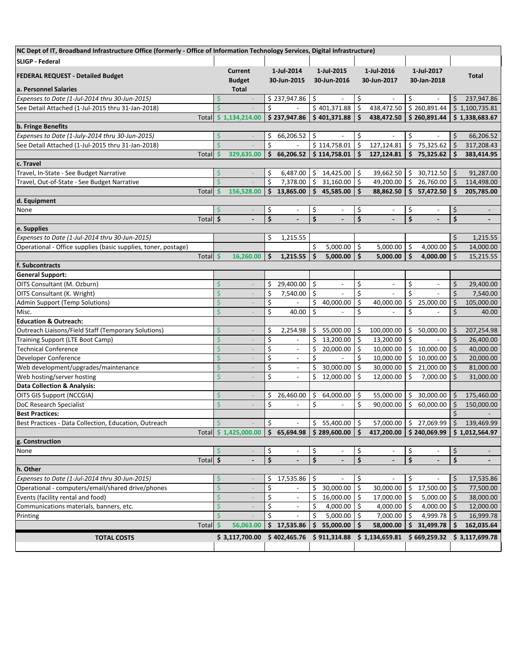| NC Dept of IT, Broadband Infrastructure Office (formerly - Office of Information Technology Services, Digital Infrastructure) |                       |                          |     |                          |     |                           |                     |                          |                         |                          |              |                          |
|-------------------------------------------------------------------------------------------------------------------------------|-----------------------|--------------------------|-----|--------------------------|-----|---------------------------|---------------------|--------------------------|-------------------------|--------------------------|--------------|--------------------------|
| <b>SLIGP - Federal</b>                                                                                                        |                       |                          |     |                          |     |                           |                     |                          |                         |                          |              |                          |
|                                                                                                                               |                       | <b>Current</b>           |     | 1-Jul-2014               |     | 1-Jul-2015                |                     | 1-Jul-2016               |                         | 1-Jul-2017               |              |                          |
| <b>FEDERAL REQUEST - Detailed Budget</b>                                                                                      |                       | <b>Budget</b>            |     | 30-Jun-2015              |     | 30-Jun-2016               |                     | 30-Jun-2017              |                         | 30-Jan-2018              |              | Total                    |
| a. Personnel Salaries                                                                                                         |                       | <b>Total</b>             |     |                          |     |                           |                     |                          |                         |                          |              |                          |
| Expenses to Date (1-Jul-2014 thru 30-Jun-2015)                                                                                | Ś                     | $\sim$                   |     | \$237,947.86             | \$. |                           | \$                  | $\overline{\phantom{a}}$ | \$                      |                          | Ś.           | 237,947.86               |
| See Detail Attached (1-Jul-2015 thru 31-Jan-2018)                                                                             | Ś                     |                          | \$  |                          |     | \$401,371.88              | \$                  | 438,472.50               |                         | \$260,891.44             |              | \$1,100,735.81           |
| Total                                                                                                                         |                       | \$1,134,214.00           |     | \$237,947.86             |     | \$401,371.88              | \$                  | 438,472.50               |                         | \$260,891.44             |              | \$1,338,683.67           |
| b. Fringe Benefits                                                                                                            |                       |                          |     |                          |     |                           |                     |                          |                         |                          |              |                          |
| Expenses to Date (1-July-2014 thru 30-Jun-2015)                                                                               | \$                    |                          | \$  | 66,206.52                | \$  |                           | \$                  |                          | \$                      |                          | \$           | 66,206.52                |
| See Detail Attached (1-Jul-2015 thru 31-Jan-2018)                                                                             | $\mathsf{\dot{S}}$    |                          | \$  | $\blacksquare$           |     | $\overline{$}$ 114,758.01 | \$                  | 127,124.81               | \$                      | 75,325.62                | $\zeta$      | 317,208.43               |
| Total                                                                                                                         | \$                    | 329,635.00               |     | \$66,206.52              |     | \$114,758.01              | Ś.                  | 127,124.81               | \$                      | 75,325.62                | \$.          | 383,414.95               |
| c. Travel                                                                                                                     |                       |                          |     |                          |     |                           |                     |                          |                         |                          |              |                          |
| Travel, In-State - See Budget Narrative                                                                                       | \$                    |                          | \$  | 6,487.00                 | \$  | 14,425.00                 | \$                  | 39,662.50                | -\$                     | $30,712.50$ \$           |              | 91,287.00                |
| Travel, Out-of-State - See Budget Narrative                                                                                   | $\dot{\mathsf{S}}$    |                          | \$  | 7,378.00                 | \$  | 31,160.00                 | \$                  | 49,200.00                | \$                      | 26,760.00 \$             |              | 114,498.00               |
| <b>Total</b>                                                                                                                  | \$                    | 156,528.00               |     | \$13,865.00              | \$  | 45,585.00                 | \$                  | 88,862.50                | $\overline{\mathbf{s}}$ | 57,472.50                | \$           | 205,785.00               |
| d. Equipment                                                                                                                  |                       |                          |     |                          |     |                           |                     |                          |                         |                          |              |                          |
| None                                                                                                                          | S                     |                          | \$  |                          | \$  | $\overline{\phantom{a}}$  | \$                  | $\overline{\phantom{a}}$ | \$                      |                          | \$           | $\overline{\phantom{a}}$ |
|                                                                                                                               | \$<br>Total           |                          | \$  |                          | \$  |                           | \$                  |                          | \$                      |                          | \$           |                          |
| e. Supplies                                                                                                                   |                       |                          |     |                          |     |                           |                     |                          |                         |                          |              |                          |
| Expenses to Date (1-Jul-2014 thru 30-Jun-2015)                                                                                |                       |                          | \$  | 1,215.55                 |     |                           |                     |                          |                         |                          | \$           | 1,215.55                 |
| Operational - Office supplies (basic supplies, toner, postage)                                                                |                       |                          |     |                          | \$  | 5,000.00                  | $\ddot{\mathsf{S}}$ | 5,000.00                 | \$                      | 4,000.00                 | $\zeta$      | 14,000.00                |
|                                                                                                                               | Total \$              | 16,260.00                | \$  | 1,215.55                 | \$  | 5,000.00                  | \$                  | 5,000.00                 | \$                      | 4,000.00                 | \$           | 15,215.55                |
| f. Subcontracts                                                                                                               |                       |                          |     |                          |     |                           |                     |                          |                         |                          |              |                          |
| <b>General Support:</b>                                                                                                       |                       |                          |     |                          |     |                           |                     |                          |                         |                          |              |                          |
| OITS Consultant (M. Ozburn)                                                                                                   | \$                    |                          | \$. | 29,400.00                | \$  |                           | \$                  |                          | \$                      |                          | \$           | 29,400.00                |
| OITS Consultant (K. Wright)                                                                                                   | \$                    |                          | \$  | 7,540.00                 | \$  | $\overline{\phantom{a}}$  | \$                  | $\overline{a}$           | \$                      | $\overline{\phantom{a}}$ | $\zeta$      | 7,540.00                 |
| Admin Support (Temp Solutions)                                                                                                | Ś                     | $\overline{\phantom{a}}$ | \$  | $\overline{\phantom{a}}$ | \$  | 40,000.00                 | \$                  | 40,000.00                | \$                      | 25,000.00                | \$           | 105,000.00               |
| Misc.                                                                                                                         | Ś                     | ÷                        | \$  | 40.00                    | \$  |                           | \$                  |                          | \$                      |                          | \$           | 40.00                    |
| <b>Education &amp; Outreach:</b>                                                                                              |                       |                          |     |                          |     |                           |                     |                          |                         |                          |              |                          |
| Outreach Liaisons/Field Staff (Temporary Solutions)                                                                           | Ś                     |                          | \$  | 2,254.98                 | \$  | 55,000.00                 | \$                  | 100,000.00               | \$                      | 50,000.00                | \$           | 207,254.98               |
| Training Support (LTE Boot Camp)                                                                                              | \$                    |                          | \$  |                          | \$  | 13,200.00                 | \$                  | 13,200.00                | \$                      |                          | \$           | 26,400.00                |
| <b>Technical Conference</b>                                                                                                   | \$                    | ÷,                       | \$  | $\overline{\phantom{a}}$ | \$  | 20,000.00                 | \$                  | 10,000.00                | \$                      | 10,000.00                | $\zeta$      | 40,000.00                |
| Developer Conference                                                                                                          | Ś                     | ÷                        | \$  | $\overline{\phantom{a}}$ | \$  |                           | \$                  | 10,000.00                | \$                      | 10,000.00                | $\zeta$      | 20,000.00                |
| Web development/upgrades/maintenance                                                                                          | \$                    | ÷                        | \$  | $\overline{\phantom{a}}$ | \$  | 30,000.00                 | \$                  | 30,000.00                | \$                      | 21,000.00                | \$           | 81,000.00                |
| Web hosting/server hosting                                                                                                    | \$                    |                          | \$  |                          | \$  | 12,000.00                 | \$                  | 12,000.00                | \$                      | 7,000.00                 | $\zeta$      | 31,000.00                |
| <b>Data Collection &amp; Analysis:</b>                                                                                        |                       |                          |     |                          |     |                           |                     |                          |                         |                          |              |                          |
| OITS GIS Support (NCCGIA)                                                                                                     | \$                    | L,                       | \$  | 26,460.00                | \$  | 64,000.00                 | \$                  | 55,000.00                |                         | 30,000.00                | <sub>S</sub> | 175,460.00               |
| DoC Research Specialist                                                                                                       | \$                    | $\overline{\phantom{a}}$ | \$  |                          | \$  |                           | \$                  | 90,000.00                | \$                      | 60,000.00                | $\zeta$      | 150,000.00               |
| <b>Best Practices:</b>                                                                                                        |                       |                          |     |                          |     |                           |                     |                          |                         |                          | $\zeta$      |                          |
| Best Practices - Data Collection, Education, Outreach                                                                         | \$                    |                          | \$  | $\blacksquare$           | \$  | 55,400.00                 | Ŝ.                  | 57,000.00                | \$                      | 27,069.99                | $\zeta$      | 139,469.99               |
|                                                                                                                               | Total                 | \$1,425,000.00           |     | \$65,694.98              |     | \$289,600.00              | \$                  | 417,200.00               |                         | \$240,069.99             |              | \$1,012,564.97           |
| g. Construction                                                                                                               |                       |                          |     |                          |     |                           |                     |                          |                         |                          |              |                          |
| None                                                                                                                          | \$                    |                          | \$  | $\overline{\phantom{a}}$ | \$  | $\overline{\phantom{a}}$  | \$                  | $\overline{\phantom{a}}$ | \$                      | $\overline{\phantom{a}}$ | \$           | $\overline{\phantom{0}}$ |
|                                                                                                                               | Total $\overline{\$}$ | $\overline{a}$           | \$  |                          | \$  | $\blacksquare$            | \$                  | $\blacksquare$           | \$                      |                          | \$           |                          |
| h. Other                                                                                                                      |                       |                          |     |                          |     |                           |                     |                          |                         |                          |              |                          |
| Expenses to Date (1-Jul-2014 thru 30-Jun-2015)                                                                                | \$                    |                          | \$. | 17,535.86                | \$  |                           | \$                  |                          | \$,                     |                          | \$           | 17,535.86                |
| Operational - computers/email/shared drive/phones                                                                             | \$                    |                          | \$  |                          | \$  | 30,000.00                 | \$                  | 30,000.00                | \$                      | 17,500.00                | $\zeta$      | 77,500.00                |
| Events (facility rental and food)                                                                                             | Ś                     |                          | \$  | $\overline{\phantom{a}}$ | \$  | 16,000.00                 | \$                  | 17,000.00                | \$                      | 5,000.00                 | \$           | 38,000.00                |
| Communications materials, banners, etc.                                                                                       | Ś                     |                          | \$  | $\blacksquare$           | \$  | 4,000.00                  | \$                  | 4,000.00                 | \$                      | 4,000.00                 | $\zeta$      | 12,000.00                |
| Printing                                                                                                                      | Ś                     |                          | \$  |                          | \$  | 5,000.00                  | \$                  | 7,000.00                 | \$                      | 4,999.78                 | $\zeta$      | 16,999.78                |
| Total                                                                                                                         | <b>S</b>              | 56,063.00                |     | \$17,535.86              | Ś   | 55,000.00                 | Ś                   | 58,000.00                | Ś                       | 31,499.78                | Ś            | 162,035.64               |
|                                                                                                                               |                       |                          |     |                          |     |                           |                     | \$1,134,659.81           |                         | \$669,259.32             |              | \$3,117,699.78           |
| <b>TOTAL COSTS</b>                                                                                                            |                       | \$3,117,700.00           |     | \$402,465.76             |     | \$911,314.88              |                     |                          |                         |                          |              |                          |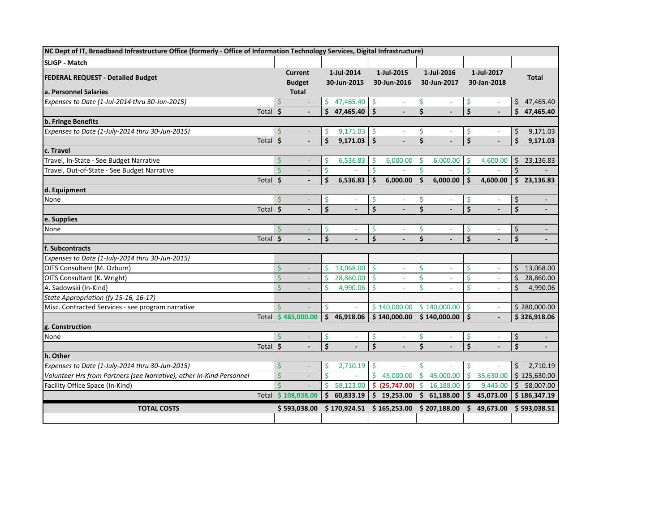| NC Dept of IT, Broadband Infrastructure Office (formerly - Office of Information Technology Services, Digital Infrastructure) |                     |                    |                    |                    |              |                    |               |                    |                |                         |                          |    |                          |
|-------------------------------------------------------------------------------------------------------------------------------|---------------------|--------------------|--------------------|--------------------|--------------|--------------------|---------------|--------------------|----------------|-------------------------|--------------------------|----|--------------------------|
| <b>SLIGP - Match</b>                                                                                                          |                     |                    |                    |                    |              |                    |               |                    |                |                         |                          |    |                          |
| <b>FEDERAL REQUEST - Detailed Budget</b>                                                                                      |                     |                    | <b>Current</b>     |                    | 1-Jul-2014   |                    | 1-Jul-2015    |                    | 1-Jul-2016     |                         | 1-Jul-2017               |    | <b>Total</b>             |
|                                                                                                                               |                     |                    | <b>Budget</b>      |                    | 30-Jun-2015  |                    | 30-Jun-2016   |                    | 30-Jun-2017    |                         | 30-Jan-2018              |    |                          |
| a. Personnel Salaries                                                                                                         |                     |                    | <b>Total</b>       |                    |              |                    |               |                    |                |                         |                          |    |                          |
| Expenses to Date (1-Jul-2014 thru 30-Jun-2015)                                                                                |                     |                    |                    | Ŝ.                 | 47,465.40    | -\$                |               | \$.                |                | \$                      |                          |    | \$47,465.40              |
|                                                                                                                               | Total $\frac{1}{5}$ |                    | $\overline{a}$     | Ś.                 | 47,465.40    | $\mathsf{\hat{S}}$ |               | $\dot{\mathsf{s}}$ |                | $\overline{\mathsf{s}}$ |                          |    | \$47,465.40              |
| <b>b. Fringe Benefits</b>                                                                                                     |                     |                    |                    |                    |              |                    |               |                    |                |                         |                          |    |                          |
| Expenses to Date (1-July-2014 thru 30-Jun-2015)                                                                               |                     | Ś                  |                    | S                  | 9,171.03     | -S                 |               | -S                 |                | \$.                     |                          | \$ | 9,171.03                 |
|                                                                                                                               | Total \$            |                    | $\blacksquare$     | $\mathsf{\dot{S}}$ | 9,171.03     | Ŝ.                 |               | \$                 | $\blacksquare$ | \$                      | $\overline{\phantom{a}}$ | \$ | 9,171.03                 |
| c. Travel                                                                                                                     |                     |                    |                    |                    |              |                    |               |                    |                |                         |                          |    |                          |
| Travel, In-State - See Budget Narrative                                                                                       |                     | Ś                  |                    | \$.                | 6,536.83     | S                  | 6,000.00      | \$                 | 6,000.00       | Ŝ                       | 4,600.00                 | \$ | 23,136.83                |
| Travel, Out-of-State - See Budget Narrative                                                                                   |                     | Ś                  |                    | \$                 |              | \$                 |               | \$                 |                | \$                      |                          | \$ |                          |
|                                                                                                                               | Total $\frac{1}{5}$ |                    |                    | \$                 | 6,536.83     | Ś.                 | 6,000.00      | \$                 | 6,000.00       | \$                      | 4,600.00                 |    | \$23,136.83              |
| d. Equipment                                                                                                                  |                     |                    |                    |                    |              |                    |               |                    |                |                         |                          |    |                          |
| None                                                                                                                          |                     | Ś                  |                    | \$.                | ٠            | -\$                |               | \$                 | ٠              | \$                      |                          | \$ | $\overline{\phantom{a}}$ |
|                                                                                                                               | Total               | Ŝ.                 |                    | \$                 |              | Ś                  |               | \$                 |                | \$                      |                          | \$ | $\overline{\phantom{a}}$ |
| e. Supplies                                                                                                                   |                     |                    |                    |                    |              |                    |               |                    |                |                         |                          |    |                          |
| None                                                                                                                          |                     | Ś                  |                    | \$                 |              | S                  |               | \$.                |                | \$                      |                          | \$ | $\overline{\phantom{a}}$ |
|                                                                                                                               | <b>Total</b>        | $\mathsf{\hat{S}}$ |                    | $\mathsf{\hat{S}}$ |              | Ś                  |               | $\dot{\mathsf{s}}$ |                | $\dot{\mathsf{S}}$      |                          | \$ | $\overline{a}$           |
| f. Subcontracts                                                                                                               |                     |                    |                    |                    |              |                    |               |                    |                |                         |                          |    |                          |
| Expenses to Date (1-July-2014 thru 30-Jun-2015)                                                                               |                     |                    |                    |                    |              |                    |               |                    |                |                         |                          |    |                          |
| OITS Consultant (M. Ozburn)                                                                                                   |                     | Ś                  | $\blacksquare$     | Š.                 | 13,068.00    | -Ś                 | $\sim$        | <sup>\$</sup>      | $\omega$       | \$                      | ÷.                       |    | \$13,068.00              |
| OITS Consultant (K. Wright)                                                                                                   |                     | Ś                  | $\sim$             | Ŝ.                 | 28,860.00    | -Ś                 | $\sim$        | Ś                  | $\sim$         | Ś                       | $\overline{\phantom{a}}$ | Ś. | 28,860.00                |
| A. Sadowski (In-Kind)                                                                                                         |                     |                    | $\blacksquare$     | Ŝ.                 | 4,990.06     | Ŝ.                 |               | Ś                  |                | Ś                       | ٠                        | \$ | 4,990.06                 |
| State Appropriation (fy 15-16, 16-17)                                                                                         |                     |                    |                    |                    |              |                    |               |                    |                |                         |                          |    |                          |
| Misc. Contracted Services - see program narrative                                                                             |                     | Ś.                 |                    | $\mathsf{\hat{S}}$ | ÷,           |                    | \$140,000.00  |                    | \$140,000.00   | \$                      | $\omega$                 |    | \$280,000.00             |
|                                                                                                                               |                     |                    | Total \$485,000.00 | Ś.                 | 46,918.06    |                    | \$140,000.00  |                    | \$140,000.00   | \$                      |                          |    | \$326,918.06             |
| g. Construction                                                                                                               |                     |                    |                    |                    |              |                    |               |                    |                |                         |                          |    |                          |
| None                                                                                                                          |                     |                    |                    | S                  |              | \$                 |               | \$.                |                | \$                      |                          | \$ | $\overline{\phantom{a}}$ |
|                                                                                                                               | Total               | $\sqrt{5}$         |                    | \$                 |              | Ś                  |               | \$                 |                | \$                      |                          | \$ | $\overline{a}$           |
| h. Other                                                                                                                      |                     |                    |                    |                    |              |                    |               |                    |                |                         |                          |    |                          |
| Expenses to Date (1-July-2014 thru 30-Jun-2015)                                                                               |                     | Ś                  |                    | \$.                | 2,710.19     | -\$                |               | <b>S</b>           | ÷.             | \$                      |                          | \$ | 2,710.19                 |
| Volunteer Hrs from Partners (see Narrative), other In-Kind Personnel                                                          |                     | Ś.                 | $\omega$           | Ś.                 |              | \$                 | 45,000.00     | $\mathsf{S}$       | 45,000.00      | \$                      | 35,630.00                |    | \$125,630.00             |
| Facility Office Space (In-Kind)                                                                                               |                     | \$                 |                    | Ŝ.                 | 58,123.00    |                    | \$(25,747.00) | Ŝ.                 | 16,188.00      | Ś                       | 9,443.00                 |    | \$58,007.00              |
|                                                                                                                               |                     |                    | Total \$108,038.00 | Ŝ.                 | 60,833.19    |                    | \$19,253.00   |                    | \$61,188.00    | \$                      | 45,073.00                |    | \$186,347.19             |
| <b>TOTAL COSTS</b>                                                                                                            |                     |                    | \$593,038.00       |                    | \$170,924.51 |                    | \$165,253.00  |                    | \$207,188.00   |                         | \$49,673.00              |    | \$593,038.51             |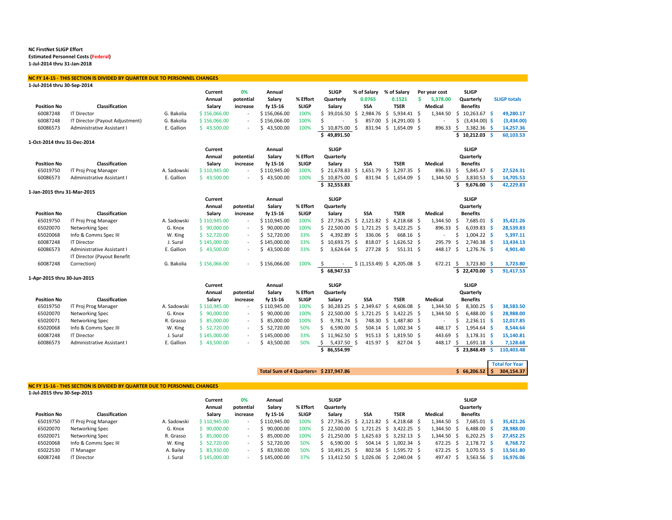#### **NC FirstNet SLIGP Effort Estimated Personnel Costs (Federal)**

**1‐Jul‐2014 thru 31‐Jan‐2018**

#### **NC FY 14‐15 ‐ THIS SECTION IS DIVIDED BY QUARTER DUE TO PERSONNEL CHANGES**

| 1-Jul-2014 thru 30-Sep-2014 |                                 |             |              |           |                 |              |                     |                           |              |                       |    |                   |      |                 |     |                       |
|-----------------------------|---------------------------------|-------------|--------------|-----------|-----------------|--------------|---------------------|---------------------------|--------------|-----------------------|----|-------------------|------|-----------------|-----|-----------------------|
|                             |                                 |             | Current      | 0%        | Annual          |              | <b>SLIGP</b>        | % of Salary               |              | % of Salary           |    | Per year cost     |      | <b>SLIGP</b>    |     |                       |
|                             |                                 |             | Annual       | potential | Salary          | % Effort     | Quarterly           | 0.0765                    |              | 0.1521                | Ś. | 5,378.00          |      | Quarterly       |     | <b>SLIGP totals</b>   |
| <b>Position No</b>          | Classification                  |             | Salary       | increase  | fy 15-16        | <b>SLIGP</b> | Salary              | <b>SSA</b>                |              | <b>TSER</b>           |    | <b>Medical</b>    |      | <b>Benefits</b> |     |                       |
| 60087248                    | <b>IT Director</b>              | G. Bakolia  | \$156,066.00 | $\equiv$  | \$156,066.00    | 100%         | \$39,016.50\$       | 2.984.76                  | Ŝ.           | 5.934.41 \$           |    | 1,344.50          | Ŝ.   | 10,263.67 \$    |     | 49,280.17             |
| 60087248                    | IT Director (Payout Adjustment) | G. Bakolia  | \$156,066.00 |           | \$156,066.00    | 100%         | \$                  | \$<br>857.00              |              | $$(4,291.00)$ \$      |    |                   | \$   | $(3,434.00)$ \$ |     | (3,434.00)            |
| 60086573                    | Administrative Assistant I      | E. Gallion  | \$43,500.00  |           | \$43,500.00     | 100%         | \$10,875.00         | - Ś                       |              | 831.94 \$ 1,654.09 \$ |    | 896.33            | - \$ | 3,382.36 \$     |     | 14,257.36             |
|                             |                                 |             |              |           |                 |              | \$<br>49,891.50     |                           |              |                       |    |                   | \$   | $10,212.03$ \$  |     | 60,103.53             |
| 1-Oct-2014 thru 31-Dec-2014 |                                 |             |              |           |                 |              |                     |                           |              |                       |    |                   |      |                 |     |                       |
|                             |                                 |             | Current      |           | Annual          |              | <b>SLIGP</b>        |                           |              |                       |    |                   |      | <b>SLIGP</b>    |     |                       |
|                             |                                 |             | Annual       | potential | Salary          | % Effort     | Quarterly           |                           |              |                       |    |                   |      | Quarterly       |     |                       |
| <b>Position No</b>          | Classification                  |             | Salary       | increase  | fy 15-16        | <b>SLIGP</b> | Salary              | <b>SSA</b>                |              | <b>TSER</b>           |    | <b>Medical</b>    |      | <b>Benefits</b> |     |                       |
| 65019750                    | IT Proj Prog Manager            | A. Sadowski | \$110,945.00 | ÷.        | \$110,945.00    | 100%         |                     | $$21,678.83$$ $$1,651.79$ | -Ś           | 3.297.35 \$           |    | 896.33 \$         |      | $5,845.47$ \$   |     | 27,524.31             |
| 60086573                    | Administrative Assistant I      | E. Gallion  | \$43,500.00  |           | \$43,500.00     | 100%         | \$10,875.00\$       | 831.94                    | $\mathsf{S}$ | 1,654.09 \$           |    | 1,344.50 \$       |      | 3,830.53 \$     |     | 14,705.53             |
|                             |                                 |             |              |           |                 |              | \$32,553.83         |                           |              |                       |    |                   | Ś.   | $9,676.00$ \$   |     | 42,229.83             |
| 1-Jan-2015 thru 31-Mar-2015 |                                 |             |              |           |                 |              |                     |                           |              |                       |    |                   |      |                 |     |                       |
|                             |                                 |             | Current      |           | Annual          |              | <b>SLIGP</b>        |                           |              |                       |    |                   |      | <b>SLIGP</b>    |     |                       |
|                             |                                 |             | Annual       | potential | Salary          | % Effort     | Quarterly           |                           |              |                       |    |                   |      | Quarterly       |     |                       |
| <b>Position No</b>          | Classification                  |             | Salary       | increase  | fy 15-16        | <b>SLIGP</b> | Salary              | SSA                       |              | <b>TSER</b>           |    | <b>Medical</b>    |      | <b>Benefits</b> |     |                       |
| 65019750                    | IT Proj Prog Manager            | A. Sadowski | \$110,945.00 | $\sim$    | \$110,945.00    | 100%         | \$27,736.25\$       | 2,121.82 \$               |              | 4,218.68 \$           |    | 1,344.50          | -\$  | 7,685.01 \$     |     | 35,421.26             |
| 65020070                    | Networking Spec                 | G. Knox     | \$90,000.00  | $\equiv$  | \$90,000.00     | 100%         |                     | $$22,500.00$$ $$1,721.25$ | -\$          | $3,422.25$ \$         |    | 896.33            | -Ś   | $6,039.83$ \$   |     | 28,539.83             |
| 65020068                    | Info & Comms Spec III           | W. King     | \$52,720.00  | $\sim$    | \$52,720.00     | 33%          | 4,392.89 \$<br>Ś.   | 336.06                    | Ŝ.           | 668.16 \$             |    | $\blacksquare$    | Ś    | $1,004.22$ \$   |     | 5,397.11              |
| 60087248                    | <b>IT Director</b>              | J. Sural    | \$145,000.00 | $\sim$    | \$145,000.00    | 33%          | 10.693.75 \$<br>Ś.  | 818.07                    | S.           | $1,626.52$ \$         |    | 295.79            |      | 2,740.38 \$     |     | 13,434.13             |
| 60086573                    | Administrative Assistant I      | E. Gallion  | \$43,500.00  |           | \$43,500.00     | 33%          | Ś<br>$3,624.64$ \$  | 277.28                    | -\$          | $551.31$ \$           |    | 448.17            | -Ś   | $1,276.76$ \$   |     | 4,901.40              |
|                             | IT Director (Payout Benefit     |             |              |           |                 |              |                     |                           |              |                       |    |                   |      |                 |     |                       |
| 60087248                    | Correction)                     | G. Bakolia  | \$156,066.00 |           | \$156,066.00    | 100%         |                     | \$ (1,153.49) \$          |              | $4,205.08$ \$         |    | $672.21 \text{ }$ |      | $3,723.80$ \$   |     | 3,723.80              |
|                             |                                 |             |              |           |                 |              | \$<br>68,947.53     |                           |              |                       |    |                   | \$   | 22,470.00       | -Ś  | 91,417.53             |
| 1-Apr-2015 thru 30-Jun-2015 |                                 |             |              |           |                 |              |                     |                           |              |                       |    |                   |      |                 |     |                       |
|                             |                                 |             | Current      |           | Annual          |              | <b>SLIGP</b>        |                           |              |                       |    |                   |      | <b>SLIGP</b>    |     |                       |
|                             |                                 |             | Annual       | potential | Salary          | % Effort     | Quarterly           |                           |              |                       |    |                   |      | Quarterly       |     |                       |
| <b>Position No</b>          | Classification                  |             | Salary       | increase  | fy 15-16        | <b>SLIGP</b> | Salary              | <b>SSA</b>                |              | <b>TSER</b>           |    | Medical           |      | <b>Benefits</b> |     |                       |
| 65019750                    | IT Proj Prog Manager            | A. Sadowski | \$110,945.00 | $\equiv$  | \$110,945.00    | 100%         | $$30,283.25$ \$     | 2.349.67                  | -Ś           | 4,606.08 \$           |    | 1,344.50          | -Ś   | $8,300.25$ \$   |     | 38,583.50             |
| 65020070                    | Networking Spec                 | G. Knox     | \$90,000.00  |           | Ś.<br>90,000.00 | 100%         | Ś.                  | 22,500.00 \$ 1,721.25     | -\$          | $3,422.25$ \$         |    | 1,344.50          | Ŝ.   | $6,488.00$ \$   |     | 28,988.00             |
| 65020071                    | Networking Spec                 | R. Grasso   | \$85,000.00  | $\sim$    | \$<br>85,000.00 | 100%         | Ŝ.<br>$9,781.74$ \$ | 748.30                    | S.           | 1,487.80 \$           |    | $\blacksquare$    | Ŝ.   | $2,236.11$ \$   |     | 12,017.85             |
| 65020068                    | Info & Comms Spec III           | W. King     | \$ 52,720.00 | $\sim$    | \$ 52,720.00    | 50%          | Ś.<br>$6,590.00$ \$ | $504.14$ \$               |              | $1,002.34$ \$         |    | 448.17            | -Ś   | 1,954.64 \$     |     | 8,544.64              |
| 60087248                    | <b>IT Director</b>              | J. Sural    | \$145,000.00 |           | \$145,000.00    | 33%          | \$11,962.50\$       | $915.13 \quad $$          |              | 1,819.50 \$           |    | 443.69            | -Ś   | $3,178.31$ \$   |     | 15,140.81             |
| 60086573                    | Administrative Assistant I      | E. Gallion  | \$43,500.00  | $\sim$    | \$43,500.00     | 50%          | \$<br>$5,437.50$ \$ | 415.97 \$                 |              | 827.04 \$             |    | 448.17 \$         |      | $1,691.18$ \$   |     | 7,128.68              |
|                             |                                 |             |              |           |                 |              | \$86,554.99         |                           |              |                       |    |                   |      | \$23,848.49     | -\$ | 110,403.48            |
|                             |                                 |             |              |           |                 |              |                     |                           |              |                       |    |                   |      |                 |     |                       |
|                             |                                 |             |              |           |                 |              |                     |                           |              |                       |    |                   |      |                 |     | <b>Total for Year</b> |

**Total Sum of 4 Quarters= \$ 237,947.86 \$ 66,206.52 \$ 304,154.37**

**Total for Year**

#### **NC FY 15‐16 ‐ THIS SECTION IS DIVIDED BY QUARTER DUE TO PERSONNEL CHANGES**

**1‐Jul‐2015 thru 30‐Sep‐2015**

|                    |                       |             | Current      | 0%                       | Annual       |              | <b>SLIGP</b>                                                   |                    |             |                | <b>SLIGP</b>    |           |
|--------------------|-----------------------|-------------|--------------|--------------------------|--------------|--------------|----------------------------------------------------------------|--------------------|-------------|----------------|-----------------|-----------|
|                    |                       |             | Annual       | potential                | Salary       | % Effort     | Quarterly                                                      |                    |             |                | Quarterly       |           |
| <b>Position No</b> | Classification        |             | Salary       | increase                 | fy 15-16     | <b>SLIGP</b> | Salary                                                         | SSA                | <b>TSER</b> | <b>Medical</b> | <b>Benefits</b> |           |
| 65019750           | IT Proj Prog Manager  | A. Sadowski | \$110.945.00 |                          | \$110.945.00 | 100%         | $$27.736.25$$ $$2.121.82$$ $$4.218.68$$                        |                    |             | 1.344.50       | 7,685.01        | 35,421.26 |
| 65020070           | Networking Spec       | G. Knox     | 90,000.00    | $\overline{\phantom{0}}$ | 90.000.00    | 100%         | \$ 22.500.00 \$ 1.721.25 \$ 3.422.25 \$                        |                    |             | 1.344.50       | $6,488.00$ \$   | 28,988.00 |
| 65020071           | Networking Spec       | R. Grasso   | 85.000.00    |                          | 85.000.00    | 100%         | $$21.250.00 \text{ } $1.625.63 \text{ } $3.232.13 \text{ } $5$ |                    |             | 1.344.50       | 6,202.25        | 27,452.25 |
| 65020068           | Info & Comms Spec III | W. King     | 52,720.00    |                          | 52.720.00    | 50%          | 6,590.00                                                       | 504.14             | 1,002.34 \$ | 672.25         | 2,178.72 \$     | 8,768.72  |
| 65022530           | IT Manager            | A. Bailev   | 83,930.00    |                          | 83.930.00    | 50%          | 10.491.25 S                                                    | $802.58 \text{ S}$ | 1.595.72 \$ | 672.25         | $3.070.55$ \$   | 13,561.80 |
| 60087248           | <b>IT Director</b>    | J. Sural    | \$145,000,00 |                          | \$145.000.00 | 37%          | $$13.412.50$$ \$ 1                                             | 1.026.06 \$        | 2.040.04 \$ | 497.47         | 3,563.56        | 16.976.06 |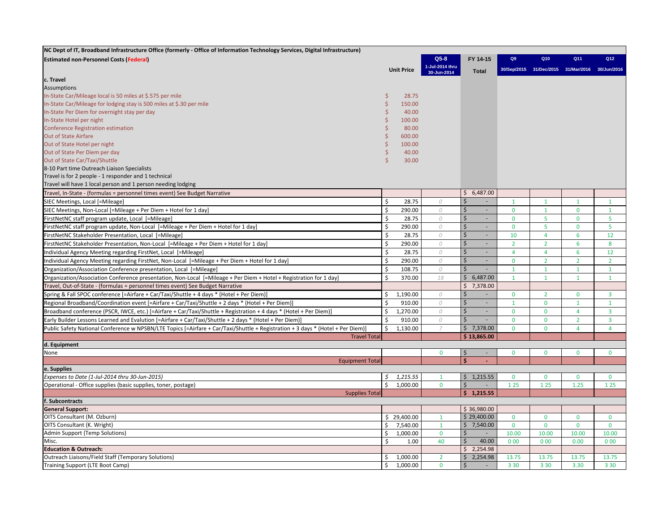| NC Dept of IT, Broadband Infrastructure Office (formerly - Office of Information Technology Services, Digital Infrastructure)   |        |                   |                 |                                                |                |                |                                                 |                |
|---------------------------------------------------------------------------------------------------------------------------------|--------|-------------------|-----------------|------------------------------------------------|----------------|----------------|-------------------------------------------------|----------------|
| <b>Estimated non-Personnel Costs (Federal)</b>                                                                                  |        |                   | $Q5-8$          | FY 14-15                                       | Q9             | Q10            | Q11                                             | Q12            |
|                                                                                                                                 |        | <b>Unit Price</b> | 1-Jul-2014 thru |                                                |                |                | 30/Sep/2015 31/Dec/2015 31/Mar/2016 30/Jun/2016 |                |
|                                                                                                                                 |        |                   | 30-Jun-2014     | Total                                          |                |                |                                                 |                |
| c. Travel                                                                                                                       |        |                   |                 |                                                |                |                |                                                 |                |
| <b>Assumptions</b>                                                                                                              |        |                   |                 |                                                |                |                |                                                 |                |
| In-State Car/Mileage local is 50 miles at \$.575 per mile                                                                       | Ś<br>Ś | 28.75             |                 |                                                |                |                |                                                 |                |
| In-State Car/Mileage for lodging stay is 500 miles at \$.30 per mile                                                            | Ś      | 150.00            |                 |                                                |                |                |                                                 |                |
| In-State Per Diem for overnight stay per day                                                                                    |        | 40.00             |                 |                                                |                |                |                                                 |                |
| In-State Hotel per night                                                                                                        | Ś      | 100.00            |                 |                                                |                |                |                                                 |                |
| <b>Conference Registration estimation</b>                                                                                       |        | 80.00             |                 |                                                |                |                |                                                 |                |
| <b>Out of State Airfare</b>                                                                                                     | Ś      | 600.00            |                 |                                                |                |                |                                                 |                |
| Out of State Hotel per night                                                                                                    | Ś<br>Ś | 100.00            |                 |                                                |                |                |                                                 |                |
| Out of State Per Diem per day                                                                                                   | Ś      | 40.00             |                 |                                                |                |                |                                                 |                |
| Out of State Car/Taxi/Shuttle                                                                                                   |        | 30.00             |                 |                                                |                |                |                                                 |                |
| 8-10 Part time Outreach Liaison Specialists                                                                                     |        |                   |                 |                                                |                |                |                                                 |                |
| Travel is for 2 people - 1 responder and 1 technical                                                                            |        |                   |                 |                                                |                |                |                                                 |                |
| Travel will have 1 local person and 1 person needing lodging                                                                    |        |                   |                 |                                                |                |                |                                                 |                |
| Travel, In-State - (formulas = personnel times event) See Budget Narrative                                                      |        |                   |                 | 6,487.00<br>\$                                 |                |                |                                                 |                |
| SIEC Meetings, Local [=Mileage]                                                                                                 | \$     | 28.75             | $\Omega$        | Ś                                              | $\mathbf{1}$   | $\mathbf{1}$   | $\mathbf{1}$                                    | $\mathbf{1}$   |
| SIEC Meetings, Non-Local [=Mileage + Per Diem + Hotel for 1 day]                                                                | \$     | 290.00            | 0               | Ś                                              | $\mathbf{0}$   | $\mathbf{1}$   | $\mathbf 0$                                     | $\mathbf{1}$   |
| FirstNetNC staff program update, Local [=Mileage]                                                                               | \$     | 28.75             | $\overline{O}$  | $\dot{\mathsf{S}}$<br>÷.                       | $\Omega$       | 5              | $\mathbf 0$                                     | 5              |
| FirstNetNC staff program update, Non-Local [=Mileage + Per Diem + Hotel for 1 day]                                              | \$     | 290.00            | 0               | $\mathsf{\dot{S}}$<br>$\overline{\phantom{a}}$ | $\mathbf{0}$   | 5              | $\mathbf 0$                                     | 5              |
| FirstNetNC Stakeholder Presentation, Local [=Mileage]                                                                           | Ś      | 28.75             | 0               | $\dot{\mathsf{S}}$<br>÷.                       | 10             | $\overline{4}$ | $6\phantom{1}6$                                 | 12             |
| FirstNetNC Stakeholder Presentation, Non-Local [=Mileage + Per Diem + Hotel for 1 day]                                          | Ś      | 290.00            | 0               | $\mathsf{\dot{S}}$<br>$\overline{\phantom{a}}$ | $\overline{2}$ | $\overline{2}$ | 6                                               | 8              |
| Individual Agency Meeting regarding FirstNet, Local [=Mileage]                                                                  | \$     | 28.75             | $\mathcal O$    | $\dot{\mathsf{S}}$<br>ä,                       | $\overline{4}$ | $\overline{4}$ | 6                                               | 12             |
| Individual Agency Meeting regarding FirstNet, Non-Local [=Mileage + Per Diem + Hotel for 1 day]                                 | \$     | 290.00            | 0               | Ś<br>÷.                                        | $\mathbf{0}$   | $\overline{2}$ | $\overline{2}$                                  | $\overline{2}$ |
| Organization/Association Conference presentation, Local [=Mileage]                                                              | Ś      | 108.75            | 0               | $\mathsf{\dot{S}}$<br>÷.                       | $\mathbf{1}$   | $\mathbf{1}$   | $\overline{1}$                                  | $\mathbf{1}$   |
| Organization/Association Conference presentation, Non-Local [=Mileage + Per Diem + Hotel + Registration for 1 day]              | Ś      | 370.00            | 18              | \$<br>6,487.00                                 | $\mathbf{1}$   | $\mathbf{1}$   | $\overline{1}$                                  | $\mathbf{1}$   |
| Travel, Out-of-State - (formulas = personnel times event) See Budget Narrative                                                  |        |                   |                 | Ś.<br>7,378.00                                 |                |                |                                                 |                |
| Spring & Fall SPOC conference [=Airfare + Car/Taxi/Shuttle + 4 days * (Hotel + Per Diem)]                                       |        | 1,190.00          | 0               | Ś                                              | $\mathbf{0}$   | $\overline{2}$ | $\mathbf 0$                                     | $\overline{3}$ |
| Regional Broadband/Coordination event [=Airfare + Car/Taxi/Shuttle + 2 days * (Hotel + Per Diem)]                               | Ś      | 910.00            | 0               | $\zeta$<br>$\blacksquare$                      | $\mathbf{1}$   | $\bf{0}$       | $\mathbf{1}$                                    | $\mathbf{1}$   |
| Broadband conference (PSCR, IWCE, etc.) [=Airfare + Car/Taxi/Shuttle + Registration + 4 days * (Hotel + Per Diem)]              |        | 1,270.00          | 0               | $\mathsf{\dot{S}}$<br>$\blacksquare$           | $\mathbf{0}$   | $\mathbf{0}$   | $\overline{4}$                                  | $\overline{3}$ |
| Early Builder Lessons Learned and Evalution [=Airfare + Car/Taxi/Shuttle + 2 days * (Hotel + Per Diem)]                         |        | 910.00            | 0               | Ś<br>ä,                                        | $\mathbf{0}$   | $\mathbf{0}$   | $\overline{2}$                                  | $\overline{3}$ |
| Public Safety National Conference w NPSBN/LTE Topics [=Airfare + Car/Taxi/Shuttle + Registration + 3 days * (Hotel + Per Diem)] | \$     | 1.130.00          | $\overline{7}$  | \$7,378.00                                     | $\mathbf{0}$   | $\Omega$       | $\overline{4}$                                  | $\overline{4}$ |
| <b>Travel Total</b>                                                                                                             |        |                   |                 | \$13,865.00                                    |                |                |                                                 |                |
| d. Equipment                                                                                                                    |        |                   |                 |                                                |                |                |                                                 |                |
| None                                                                                                                            |        |                   | $\mathbf{0}$    | \$                                             | $\mathbf{0}$   | $\mathbf{0}$   | $\mathbf 0$                                     | $\mathbf{0}$   |
| <b>Equipment Total</b>                                                                                                          |        |                   |                 | Ś<br>ä,                                        |                |                |                                                 |                |
| e. Supplies                                                                                                                     |        |                   |                 |                                                |                |                |                                                 |                |
| Expenses to Date (1-Jul-2014 thru 30-Jun-2015)                                                                                  | Ś.     | 1,215.55          | $\mathbf{1}$    | \$1,215.55                                     | $\mathbf{0}$   | $\mathbf{0}$   | $\mathbf 0$                                     | $\Omega$       |
| Operational - Office supplies (basic supplies, toner, postage)                                                                  | Ś      | 1,000.00          | $\mathbf{0}$    | $\dot{\mathsf{S}}$                             | 1 2 5          | 1 2 5          | 1.25                                            | 1 2 5          |
| <b>Supplies Total</b>                                                                                                           |        |                   |                 | \$1,215.55                                     |                |                |                                                 |                |
| f. Subcontracts                                                                                                                 |        |                   |                 |                                                |                |                |                                                 |                |
| <b>General Support:</b>                                                                                                         |        |                   |                 | \$36,980.00                                    |                |                |                                                 |                |
| OITS Consultant (M. Ozburn)                                                                                                     |        | \$29,400.00       | $\mathbf{1}$    | \$29,400.00                                    | $\mathbf 0$    | $\mathbf 0$    | $\mathbf 0$                                     | $\mathbf{0}$   |
| OITS Consultant (K. Wright)                                                                                                     | \$     | 7,540.00          | $\mathbf{1}$    | \$7,540.00                                     | $\mathbf{0}$   | $\mathbf{0}$   | $\mathbf{0}$                                    | $\mathbf{0}$   |
| Admin Support (Temp Solutions)                                                                                                  | \$     | 1,000.00          | $\mathbf{0}$    | $\dot{\mathsf{S}}$                             | 10.00          | 10.00          | 10.00                                           | 10.00          |
| Misc.                                                                                                                           | Ś.     | 1.00              | 40              | Ś.<br>40.00                                    | 000            | 000            | 0.00                                            | 000            |
| <b>Education &amp; Outreach:</b>                                                                                                |        |                   |                 | 2,254.98<br>\$                                 |                |                |                                                 |                |
| Outreach Liaisons/Field Staff (Temporary Solutions)                                                                             | \$     | 1,000.00          | $\overline{2}$  | 2,254.98<br>Ś.                                 | 13.75          | 13.75          | 13.75                                           | 13.75          |
| Training Support (LTE Boot Camp)                                                                                                | \$     | 1,000.00          | $\bf{0}$        | $\zeta$<br>$\blacksquare$                      | 3 3 0          | 3 3 0          | 3.30                                            | 3 3 0          |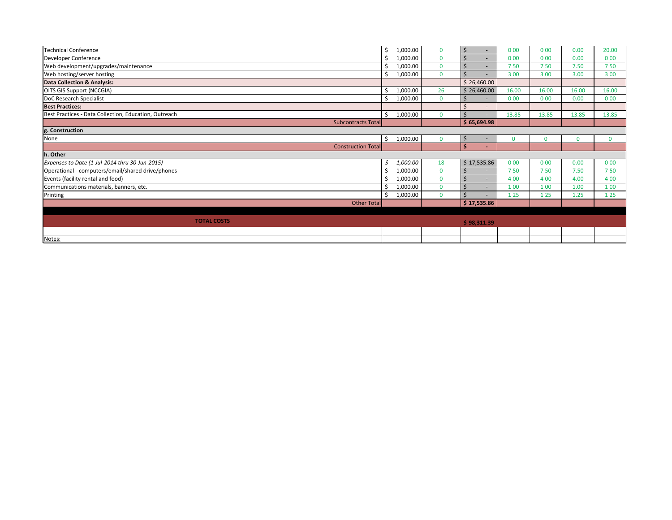| <b>Technical Conference</b>                           |             | 1,000.00 | $\Omega$ | Ś             | 000          | 000      | 0.00     | 20.00    |
|-------------------------------------------------------|-------------|----------|----------|---------------|--------------|----------|----------|----------|
| Developer Conference                                  |             | 1,000.00 | $\Omega$ |               | 000          | 000      | 0.00     | 000      |
| Web development/upgrades/maintenance                  |             | 1,000.00 | $\Omega$ | \$            | 750          | 750      | 7.50     | 750      |
| Web hosting/server hosting                            |             | 1,000.00 | $\Omega$ |               | 3 0 0        | 3 0 0    | 3.00     | 3 0 0    |
| <b>Data Collection &amp; Analysis:</b>                |             |          |          | \$26,460.00   |              |          |          |          |
| OITS GIS Support (NCCGIA)                             |             | 1,000.00 | 26       | \$26,460.00   | 16.00        | 16.00    | 16.00    | 16.00    |
| DoC Research Specialist                               | Ś           | 1,000.00 | $\Omega$ |               | 000          | 000      | 0.00     | 000      |
| <b>Best Practices:</b>                                |             |          |          | Ś             |              |          |          |          |
| Best Practices - Data Collection, Education, Outreach | Ś.          | 1,000.00 | $\Omega$ | S             | 13.85        | 13.85    | 13.85    | 13.85    |
| Subcontracts Total                                    |             |          |          | \$65,694.98   |              |          |          |          |
| g. Construction                                       |             |          |          |               |              |          |          |          |
| None                                                  | \$          | 1,000.00 |          | \$            | $\mathbf{0}$ | $\Omega$ | $\Omega$ | $\Omega$ |
| <b>Construction Total</b>                             |             |          |          | Ś             |              |          |          |          |
| h. Other                                              |             |          |          |               |              |          |          |          |
| Expenses to Date (1-Jul-2014 thru 30-Jun-2015)        | \$          | 1,000.00 | 18       | \$17,535.86   | 000          | 000      | 0.00     | 000      |
| Operational - computers/email/shared drive/phones     |             | 1,000.00 | $\Omega$ |               | 750          | 750      | 7.50     | 750      |
| Events (facility rental and food)                     |             | 1,000.00 | $\Omega$ | <sup>\$</sup> | 4 0 0        | 4 0 0    | 4.00     | 4 0 0    |
| Communications materials, banners, etc.               |             | 1,000.00 | $\Omega$ | Ś             | 100          | 1 0 0    | 1.00     | 100      |
| Printing                                              | Ś           | 1,000.00 | $\Omega$ | Ś.            | 1 2 5        | 1 2 5    | 1.25     | 1 2 5    |
|                                                       | Other Total |          |          | \$17,535.86   |              |          |          |          |
|                                                       |             |          |          |               |              |          |          |          |
| <b>TOTAL COSTS</b>                                    |             |          |          | \$98,311.39   |              |          |          |          |
|                                                       |             |          |          |               |              |          |          |          |
| Notes:                                                |             |          |          |               |              |          |          |          |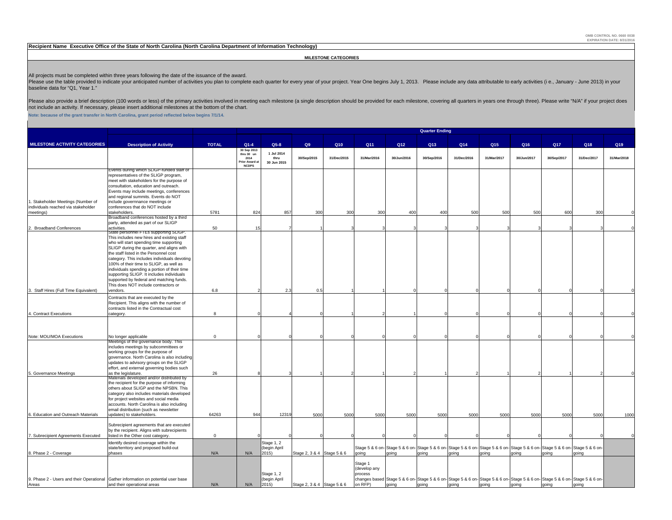#### **Recipient Name Executive Office of the State of North Carolina (North Carolina Department of Information Technology)**

#### **MILESTONE CATEGORIES**

All projects must be completed within three years following the date of the issuance of the award.<br>Please use the table provided to indicate your anticipated number of activities you plan to complete each quarter for every baseline data for "Q1, Year 1."

Please also provide a brief description (100 words or less) of the primary activities involved in meeting each milestone (a single description should be provided for each milestone, covering all quarters in years one throu not include an activity. If necessary, please insert additional milestones at the bottom of the chart.

**Note: because of the grant transfer in North Carolina, grant period reflected below begins 7/1/14.**

|                                                                           |                                                                                                                                                                                                                                                                                                                                                                                                                                                                                                    | <b>Quarter Ending</b> |                                                                           |                                     |                            |             |                                               |             |                 |             |             |                                                                                                                                   |             |             |             |
|---------------------------------------------------------------------------|----------------------------------------------------------------------------------------------------------------------------------------------------------------------------------------------------------------------------------------------------------------------------------------------------------------------------------------------------------------------------------------------------------------------------------------------------------------------------------------------------|-----------------------|---------------------------------------------------------------------------|-------------------------------------|----------------------------|-------------|-----------------------------------------------|-------------|-----------------|-------------|-------------|-----------------------------------------------------------------------------------------------------------------------------------|-------------|-------------|-------------|
| <b>MILESTONE ACTIVITY CATEGORIES</b>                                      | <b>Description of Activity</b>                                                                                                                                                                                                                                                                                                                                                                                                                                                                     | <b>TOTAL</b>          | $Q1-4$                                                                    | $Q5-8$                              | Q9                         | Q10         | Q11                                           | Q12         | Q13             | Q14         | Q15         | Q16                                                                                                                               | Q17         | Q18         | Q19         |
|                                                                           |                                                                                                                                                                                                                                                                                                                                                                                                                                                                                                    |                       | 30 Sep 2013<br>thru 30 un<br>2014<br><b>Prior Award a</b><br><b>NCDPS</b> | 1 Jul 2014<br>thru<br>30 Jun 2015   | 30/Sep/2015                | 31/Dec/2015 | 31/Mar/2016                                   | 30/Jun/2016 | 30/Sep/2016     | 31/Dec/2016 | 31/Mar/2017 | 30/Jun/2017                                                                                                                       | 30/Sep/2017 | 31/Dec/2017 | 31/Mar/2018 |
| 1. Stakeholder Meetings (Number of<br>individuals reached via stakeholder | Events during which SLIGP-funded staff or<br>representatives of the SLIGP program,<br>meet with stakeholders for the purpose of<br>consultation, education and outreach.<br>Events may include meetings, conferences<br>and regional summits. Events do NOT<br>include governnance meetings or<br>conferences that do NOT include                                                                                                                                                                  |                       |                                                                           |                                     |                            |             |                                               |             |                 |             |             |                                                                                                                                   |             |             |             |
| meetings)                                                                 | stakeholders.<br>Broadband conferences hosted by a third<br>party, attended as part of our SLIGP                                                                                                                                                                                                                                                                                                                                                                                                   | 5781                  | 824                                                                       | 857                                 | 300                        | 300         | 300                                           | 400         | 40 <sub>C</sub> | 500         | 500         | 500                                                                                                                               | 600         | 300         |             |
| Broadband Conferences                                                     | activities.                                                                                                                                                                                                                                                                                                                                                                                                                                                                                        | 50                    | 15                                                                        |                                     |                            |             |                                               |             |                 |             |             |                                                                                                                                   |             |             |             |
|                                                                           | State personnel FIEs supporting SLIGP.<br>This includes new hires and existing staff<br>who will start spending time supporting<br>SLIGP during the quarter, and aligns with<br>the staff listed in the Personnel cost<br>category. This includes individuals devoting<br>100% of their time to SLIGP, as well as<br>individuals spending a portion of their time<br>supporting SLIGP. It includes individuals<br>supported by federal and matching funds.<br>This does NOT include contractors or |                       |                                                                           |                                     |                            |             |                                               |             |                 |             |             |                                                                                                                                   |             |             |             |
| 3. Staff Hires (Full Time Equivalent)                                     | vendors.                                                                                                                                                                                                                                                                                                                                                                                                                                                                                           | 6.8                   |                                                                           | 2.3                                 | 0.5                        |             |                                               |             |                 |             |             |                                                                                                                                   |             |             |             |
| 4. Contract Executions                                                    | Contracts that are executed by the<br>Recipient. This aligns with the number of<br>contracts listed in the Contractual cost<br>category.                                                                                                                                                                                                                                                                                                                                                           | 8                     |                                                                           |                                     |                            |             |                                               |             |                 |             |             |                                                                                                                                   |             |             |             |
|                                                                           |                                                                                                                                                                                                                                                                                                                                                                                                                                                                                                    |                       |                                                                           |                                     |                            |             |                                               |             |                 |             |             |                                                                                                                                   |             |             |             |
| Note: MOU/MOA Executions                                                  | No longer applicable                                                                                                                                                                                                                                                                                                                                                                                                                                                                               | $\mathsf 0$           |                                                                           |                                     |                            |             |                                               |             |                 |             |             |                                                                                                                                   |             |             |             |
| 5. Governance Meetings                                                    | Meetings of the governance body. This<br>includes meetings by subcommittees or<br>working groups for the purpose of<br>governance. North Carolina is also including<br>updates to advisory groups on the SLIGP<br>effort, and external governing bodies such<br>as the legislature.                                                                                                                                                                                                                | 26                    |                                                                           |                                     |                            |             |                                               |             |                 |             |             |                                                                                                                                   |             |             |             |
|                                                                           | Materials developed and/or distributed by<br>the recipient for the purpose of informing<br>others about SLIGP and the NPSBN. This<br>category also includes materials developed<br>for project websites and social media<br>accounts. North Carolina is also including<br>email distribution (such as newsletter                                                                                                                                                                                   |                       |                                                                           |                                     |                            |             |                                               |             |                 |             |             |                                                                                                                                   |             |             |             |
| 6. Education and Outreach Materials                                       | updates) to stakeholders.                                                                                                                                                                                                                                                                                                                                                                                                                                                                          | 64263                 | 944                                                                       | 12319                               | 5000                       | 5000        | 5000                                          | 5000        | 5000            | 5000        | 5000        | 5000                                                                                                                              | 5000        | 5000        | 1000        |
| 7. Subrecipient Agreements Executed                                       | Subrecipient agreements that are executed<br>by the recipient. Aligns with subrecipients<br>listed in the Other cost category.                                                                                                                                                                                                                                                                                                                                                                     | $\mathbf{0}$          |                                                                           |                                     |                            |             |                                               |             |                 |             |             |                                                                                                                                   |             |             |             |
| 8. Phase 2 - Coverage                                                     | Identify desired coverage within the<br>state/territory and proposed build-out<br>phases                                                                                                                                                                                                                                                                                                                                                                                                           | N/A                   | N/A                                                                       | Stage 1, 2<br>(begin April<br>2015  | Stage 2, 3 & 4 Stage 5 & 6 |             | going                                         | going       | going           | poiop       | going       | Stage 5 & 6 on-Stage 5 & 6 on-Stage 5 & 6 on-Stage 5 & 6 on-Stage 5 & 6 on-Stage 5 & 6 on-Stage 5 & 6 on-Stage 5 & 6 on-<br>poiop | prior       | poiop       |             |
| Areas                                                                     | 9. Phase 2 - Users and their Operational Gather information on potential user base<br>and their operational areas                                                                                                                                                                                                                                                                                                                                                                                  | N/A                   | N/A                                                                       | Stage 1, 2<br>(begin April<br>2015) | Stage 2, 3 & 4 Stage 5 & 6 |             | Stage 1<br>(develop any<br>process<br>on RFP) | going       | going           | going       | going       | changes based Stage 5 & 6 on-Stage 5 & 6 on-Stage 5 & 6 on-Stage 5 & 6 on-Stage 5 & 6 on-Stage 5 & 6 on-Stage 5 & 6 on-<br>going  | going       | qoing       |             |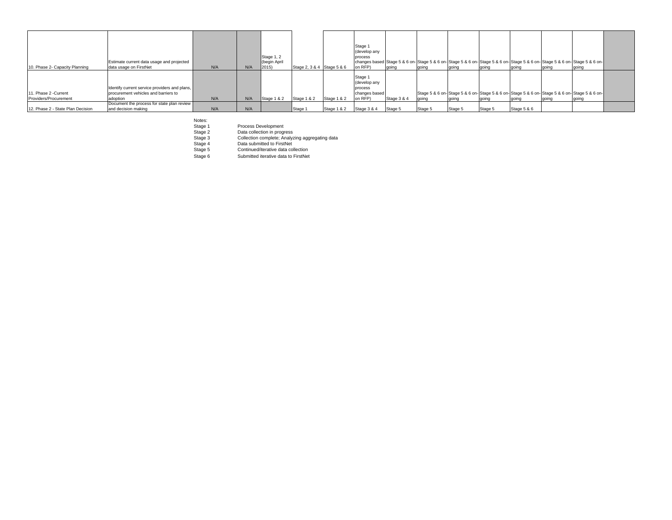| 10. Phase 2- Capacity Planning                | Estimate current data usage and projected<br>data usage on FirstNet                               | N/A | N/A | Stage 1, 2<br>(begin April<br>2015) | Stage 2, 3 & 4 Stage 5 & 6 |             | Stage 1<br>(develop any<br>process<br>on RFP)                  | laoina      | going   | going   | going   | going       | changes based Stage 5 & 6 on-Stage 5 & 6 on-Stage 5 & 6 on-Stage 5 & 6 on-Stage 5 & 6 on-Stage 5 & 6 on-Stage 5 & 6 on-<br>going | going |  |
|-----------------------------------------------|---------------------------------------------------------------------------------------------------|-----|-----|-------------------------------------|----------------------------|-------------|----------------------------------------------------------------|-------------|---------|---------|---------|-------------|----------------------------------------------------------------------------------------------------------------------------------|-------|--|
| 11. Phase 2 -Current<br>Providers/Procurement | Identify current service providers and plans,<br>procurement vehicles and barriers to<br>adoption | N/A | N/A | Stage 1 & 2 Stage 1 & 2             |                            | Stage 1 & 2 | Stage 1<br>(develop any<br>process<br>changes based<br>on RFP) | Stage 3 & 4 | laoina  | going   | going   | going       | Stage 5 & 6 on- Stage 5 & 6 on- Stage 5 & 6 on- Stage 5 & 6 on- Stage 5 & 6 on- Stage 5 & 6 on-<br>going                         | going |  |
| 12. Phase 2 - State Plan Decision             | Document the process for state plan review<br>and decision making                                 | N/A | N/A |                                     | Stage 1                    | Stage 1 & 2 | Stage 3 & 4                                                    | Stage 5     | Stage 5 | Stage 5 | Stage 5 | Stage 5 & 6 |                                                                                                                                  |       |  |

Notes:

Stage 1 Process Development<br>Stage 2 Data collection in progress<br>Stage 3 Collection complete; Analyzing aggregating data<br>Stage 5 Continued/iterative data collection<br>Stage 5 Continued/iterative data collection

Stage 6 Submitted iterative data to FirstNet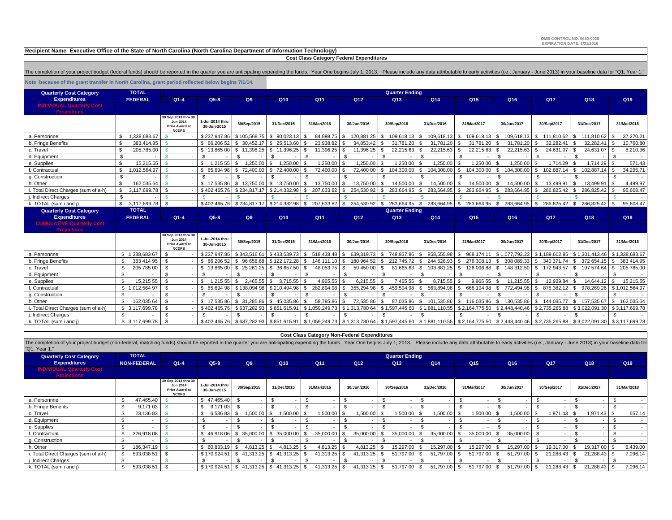**OMB CONTROL NO. 0660-0038EXPIRATION DATE: 8/31/2016**

**Recipient Name Executive Office of the State of North Carolina (North Carolina Department of Information Technology)**

 **Cost Class Category Federal Expenditures**

The completion of your project budget (federal funds) should be reported in the quarter you are anticipating expending the funds. Year One begins July 1, 2013. Please include any data attributable to early activities (i.e.

**Note because of the grant transfer in North Carolina, grant period reflected below begins 7/1/14.**

| <b>Quarterly Cost Category</b>                         | <b>TOTAL</b>         | <b>Quarter Ending</b>                                                           |                                |                            |                 |                  |                      |                          |                    |                   |                            |                   |                  |                   |
|--------------------------------------------------------|----------------------|---------------------------------------------------------------------------------|--------------------------------|----------------------------|-----------------|------------------|----------------------|--------------------------|--------------------|-------------------|----------------------------|-------------------|------------------|-------------------|
| <b>Expenditures</b>                                    | <b>FEDERAL</b>       | $Q1 - 4$                                                                        | $Q5-8$                         | Q9                         | Q10             | Q11              | Q <sub>12</sub>      | Q <sub>13</sub>          | Q14                | Q <sub>15</sub>   | Q16                        | Q17               | Q18              | Q <sub>19</sub>   |
| <b>INDIVIDUAL Quarterly Cost</b><br><b>Projections</b> |                      |                                                                                 |                                |                            |                 |                  |                      |                          |                    |                   |                            |                   |                  |                   |
|                                                        |                      | 30 Sep 2013 thru 30<br><b>Jun 2014</b><br><b>Prior Award at</b><br><b>NCDPS</b> | 1-Jul-2014 thru<br>30-Jun-2015 | 30/Sep/2015                | 31/Dec/2015     | 31/Mar/2016      | 30/Jun/2016          | 30/Sep/2016              | 31/Dec/2016        | 31/Mar/2017       | 30/Jun/2017                | 30/Sep/2017       | 31/Dec/2017      | 31/Mar/2018       |
| a. Personnnel                                          | 1,338,683.67         |                                                                                 | \$237,947.86                   | \$105,568.75               | 90,023.13<br>S. | 84,898.75        | 120,881 25           | 109,618.13<br>-SS        | 109,618.13<br>- S  | 109,618.13        | 109,618.13                 | 111,810.62        | 111,810 62       | 37,270.21         |
| b. Fringe Benefits                                     | 383.414.95           |                                                                                 | \$66,206 52                    | \$ 30.452.17               | \$ 25,513,60    | 23,938.82        | 34.853.42            | 31.781.20                | 31.781.20          | 31.781 20         | 31.781.20                  | 32.282.41         | 32.282.41        | 10,760.80         |
| c. Travel                                              | 205,785.00           |                                                                                 | \$13,865 00                    | \$11,396.25                | \$11,396.25     | 11,396.25        | 11,396 25            | 22,215.63                | 22,215.63          | 22.215 63         | 22.215.63                  | 24,631.07         | 24,631 07        | 8,210.36          |
| d. Equipment                                           | - \$                 |                                                                                 | $\mathcal{S}$                  |                            |                 |                  | .ኖ                   | $\mathcal{F}$            |                    |                   |                            |                   |                  |                   |
| e. Supplies                                            | 15,215.55            |                                                                                 | 1.215 55<br>\$.                | 1.250.00<br>$\mathcal{F}$  | 1,250.00        | 1,250.00         | 1.250.00             | 1,250 00<br>\$.          | 1,250.00           | 1,250 00          | 1,250.00                   | 1.714.29          | 1,714 29         | 571.43            |
| f. Contractual                                         | 1.012.564.97         |                                                                                 | \$65,694 98                    | 72.400.00<br>$\mathcal{L}$ | 72,400.00<br>-S | 72.400.00        | 72,400 00            | 104.300.00<br>S.         | 104.300.00<br>- \$ | 104.300 00        | 104.300.00<br>- \$         | 102.887.14<br>£.  | 102.887.14       | 34,295.71<br>-S   |
| g. Construction                                        | \$                   |                                                                                 | $\mathcal{S}$                  |                            |                 |                  | .ኖ                   | - \$                     |                    |                   |                            |                   |                  | £.                |
| h. Other                                               | 162,035.64<br>- \$   | <b>R</b>                                                                        | \$17,53586                     | \$13,750,00                | \$13,750.00     | 13,750.00        | 13,750 00            | 14,500.00<br>\$.         | 14,500.00<br>ፍ     | 14.500 00         | 14.500.00                  | 13,499.91<br>ፍ    | 13.499 91        | 4,499.97          |
| . Total Direct Charges (sum of a-h)                    | - \$<br>3,117,699.78 |                                                                                 | \$402,465.76                   | \$234,817.17               | \$214,332.98    | 207,633.82       | 254,530 92           | 283,664.95<br>\$.        | 283,664.95<br>-SS  | 283,664 95        | 283,664.95<br>-96          | 286,825.42<br>S.  | 286,825.42       | 95,608.47         |
| i. Indirect Charges                                    | \$                   |                                                                                 |                                |                            |                 |                  |                      |                          |                    |                   |                            |                   |                  |                   |
| k. TOTAL (sum i and j)                                 | 3,117,699.78<br>S.   | - \$                                                                            | \$402,465.76                   | \$234,817.17               | \$214,332.98    | 207,633.82<br>\$ | 254,530 92<br>$.$ \$ | 283,664.95               | 283,664.95<br>-S   | 283,664 95<br>l S | 283,664.95<br>- \$         | 286,825.42<br>s.  | 286,825.42       | 95,608.47<br>- \$ |
| <b>Quarterly Cost Category</b>                         | <b>TOTAL</b>         |                                                                                 |                                |                            |                 |                  |                      | <b>Quarter Ending</b>    |                    |                   |                            |                   |                  |                   |
| <b>Expenditures</b>                                    | <b>FEDERAL</b>       | $Q1-4$                                                                          | $Q5-8$                         | Q9                         | Q10             | Q11              | Q12                  | Q <sub>13</sub>          | Q14                | Q <sub>15</sub>   | Q16                        | <b>Q17</b>        | Q18              | Q19               |
| <b>CUMULATIVE Quarterly Cost</b>                       |                      |                                                                                 |                                |                            |                 |                  |                      |                          |                    |                   |                            |                   |                  |                   |
|                                                        |                      |                                                                                 |                                |                            |                 |                  |                      |                          |                    |                   |                            |                   |                  |                   |
| <b>Projections</b>                                     |                      | 30 Sep 2013 thru 30<br><b>Jun 2014</b><br><b>Prior Award at</b><br><b>NCDPS</b> | 1-Jul-2014 thru<br>30-Jun-2015 | 30/Sep/2015                | 31/Dec/2015     | 31/Mar/2016      | 30/Jun/2016          | 30/Sep/2016              | 31/Dec/2016        | 31/Mar/2017       | 30/Jun/2017                | 30/Sep/2017       | 31/Dec/2017      | 31/Mar/2018       |
| a. Personnnel                                          | \$1.338,68367        | -9                                                                              | \$237.947.86                   | \$343.51661                | \$433,539.73    | 518,438.48       | 639.319.73           | 748,937.86               | 858.555.98<br>\$.  | 968.174.          | \$1.077.792.23             | \$1.189.602.85    | \$1.301.413.46   | \$1.338,683,67    |
| b. Fringe Benefits                                     | 383 414 95           | - \$                                                                            | \$66 206 52                    | \$<br>96 658.68            | \$122 172.28    | 146 111.10       | 180 964 52           | 212 745.72               | 244 526.93         | 276 308           | 308 089.33                 | 340 371.74        | 372 654.15       | 383 414.95        |
| c. Travel                                              | 205 785 00           | - \$                                                                            | \$1386500                      | \$25 261.25                | \$36657.50      | 48 053.75        | 59 450 00            | 81 665.63<br>S.          | 103 881.25<br>- \$ | 126 096 88        | 148 312.50<br>-S           | 172 943.57<br>£.  | 197 574 64       | 205 785.00<br>-S  |
| d. Equipment                                           | \$                   | $\mathcal{S}$                                                                   | $\mathcal{S}$                  |                            |                 |                  | . ድ                  | $\mathcal{S}$            |                    |                   |                            | - 93              |                  |                   |
| e. Supplies                                            | 15,215 55<br>\$      | $\mathcal{S}$                                                                   | $\mathcal{L}$<br>1.215 55      | 2.465.55<br>\$             | 3.715.55<br>\$. | 4.965.55         | 6.215.55             | 7,465 55<br>$\mathbf{R}$ | 8.715.55           | 9.965 55          | 11.215.55                  | 12.929.84         | 14.644.12        | 15,215.55<br>ς.   |
| f. Contractual                                         | \$1,012,564 97       | \$                                                                              | \$.<br>65.694 98               | \$138,09498                | \$210.494.98    | 282.894.98<br>S. | 355.294 98<br>\$     | 459.594.98<br>s.         | S.<br>563.894.98   | 668.19498<br>-S   | $\mathbf{s}$<br>772.494.98 | 875.382.12<br>\$. | 978.269 26<br>S. | \$1,012,564.97    |
| g. Construction                                        |                      | $\mathcal{R}$                                                                   | ፍ                              |                            |                 |                  |                      | ፍ                        |                    |                   |                            |                   |                  |                   |
| h. Other                                               | 162,035 64<br>-S     |                                                                                 | \$17,53586                     | \$ 31,285,86               | \$45,035,86     | 58.785.86        | 72.53586             | 87.035.86<br>\$.         | 101.535.86<br>\$.  | 116.03586         | 130.535.86                 | 144.035.77<br>ፍ   | 157.535 67       | 162,035.64<br>\$. |
| i. Total Direct Charges (sum of a-h)                   | \$ 3,117,699.78      | - \$                                                                            | \$402,465.76                   | \$637,28293                | \$851,615.91    | \$1,059,249.73   | \$1,313,78064        | \$1,597,445.60           | \$1,881,110.55     | \$2,164,775 50    | \$2,448,440.46             | \$2,735,265.88    | \$3,022,09130    | \$3,117,699.78    |
| i. Indirect Charges                                    |                      |                                                                                 | - \$                           |                            |                 |                  |                      |                          |                    |                   |                            |                   |                  |                   |

| <b>Cost Class Category Non-Federal Expenditures</b> |  |  |
|-----------------------------------------------------|--|--|
|-----------------------------------------------------|--|--|

The completion of your project budget (non-federal, matching funds) should be reported in the quarter you are anticipating expending the funds. Year One begins July 1, 2013. Please include any data attributable to early ac

| <b>Quarterly Cost Category</b>                         | <b>TOTAL</b>       | <b>Quarter Ending</b>                                            |                                |                                              |             |             |             |                          |             |                 |                 |             |                          |                          |
|--------------------------------------------------------|--------------------|------------------------------------------------------------------|--------------------------------|----------------------------------------------|-------------|-------------|-------------|--------------------------|-------------|-----------------|-----------------|-------------|--------------------------|--------------------------|
| <b>Expenditures</b>                                    | <b>NON-FEDERAL</b> | $Q1 - 4$                                                         | $Q5-8$                         | Q9                                           | Q10         | Q11         | Q12         | Q <sub>13</sub>          | Q14         | Q <sub>15</sub> | Q <sub>16</sub> | Q17         | Q18                      | Q19                      |
| <b>INDIVIDUAL Quarterly Cost</b><br><b>Projections</b> |                    |                                                                  |                                |                                              |             |             |             |                          |             |                 |                 |             |                          |                          |
|                                                        |                    | 30 Sep 2013 thru 30<br>Jun 2014<br>Prior Award a<br><b>NCDPS</b> | 1-Jul-2014 thru<br>30-Jun-2015 | 30/Sep/2015                                  | 31/Dec/2015 | 31/Mar/2016 | 30/Jun/2016 | 30/Sep/2016              | 31/Dec/2016 | 31/Mar/2017     | 30/Jun/2017     | 30/Sep/2017 | 31/Dec/2017              | 31/Mar/2018              |
| a. Personnnel                                          | 47,465.40          |                                                                  | \$47,465.40                    | $\sim$                                       |             |             |             | $\sim$                   |             |                 |                 |             | $\overline{\phantom{0}}$ |                          |
| b. Fringe Benefits                                     | 9.171 03           |                                                                  | 9.171 03<br>- \$               | $\overline{\phantom{a}}$                     |             |             |             | $\overline{a}$           |             |                 |                 |             | $\sim$                   | $\overline{\phantom{a}}$ |
| c. Travel                                              | 23,13683           |                                                                  | 6,536 83<br>-S                 | 1,500.00                                     | ,500.00     | 1,500.00    | .500.00     | 00 000,1                 | ,500.00     | 1,500 00        | 1,500.00        | 1,971.43    | 1,971.43 \$              | 657.14                   |
| d. Equipment                                           |                    |                                                                  |                                |                                              |             |             |             | $\overline{\phantom{a}}$ |             |                 |                 |             | $\overline{\phantom{a}}$ | $\overline{\phantom{a}}$ |
| e. Supplies                                            |                    |                                                                  |                                |                                              |             |             |             | $\overline{\phantom{0}}$ |             |                 |                 |             | $\overline{\phantom{0}}$ |                          |
| f. Contractual                                         | 326,918 06         |                                                                  | 46.918.06 \$                   | 35,000,00 \$                                 | 35.000.00   | 35,000.00   | 35,000 00   | 35,000.00                | 35,000.00   | 35,000 00   \$  | 35,000.00       |             | $\overline{\phantom{a}}$ |                          |
| g. Construction                                        |                    |                                                                  |                                | $\overline{\phantom{a}}$                     |             |             |             | $\overline{\phantom{0}}$ |             |                 |                 |             | $\sim$                   | $\overline{\phantom{a}}$ |
| h. Other                                               | 186.347.19         |                                                                  | \$ 60,833,19                   | 4.813.25                                     | 4.813.25    | 4,813.25    | 4,813.25    | 15,297.00                | 15,297.00   | 15.297 00 \$    | 5.297.00        | 19,317.     | 19,317 00 \$             | 6,439.00                 |
| i. Total Direct Charges (sum of a-h)                   | 593,038 51         |                                                                  | $$170,924.51$ \ \ \$           | 41,313.25 \$                                 | 41,313.25   | 41,313.25   | 41,313 25   | 51,797.00                | 51.797.00   | 51.797 00 \$    | 51.797.00       | 21,288.43   | 21,288.43 \$             | 7,096.14                 |
| j. Indirect Charges                                    |                    |                                                                  |                                | $\overline{\phantom{a}}$                     |             |             |             | $\overline{\phantom{0}}$ |             |                 |                 |             | $\sim$                   | $\overline{\phantom{a}}$ |
| k. TOTAL (sum i and j)                                 | 593,038 51         |                                                                  |                                | $$170,924.51$ $$41,313.25$ $$41,313.25$ $$5$ |             | 41,313.25   | 41,313 25   | 51,797.00                | 51,797.00   | 51,797 00 \$    | 51,797.00       | 21,288.43   | $21,288.43$ \$           | 7,096.14                 |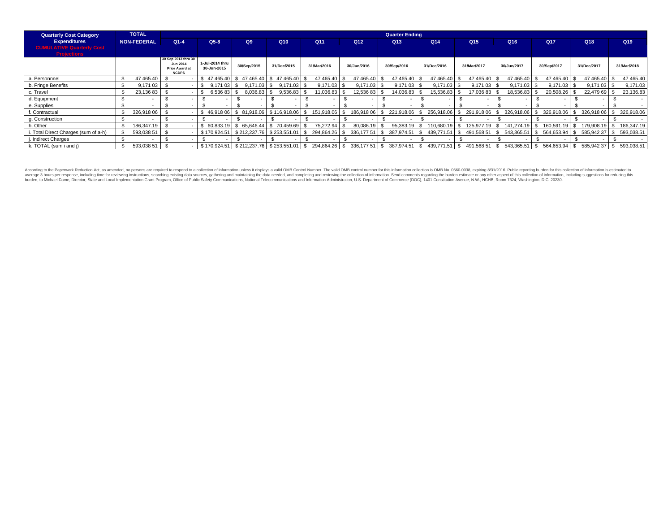| <b>Quarterly Cost Category</b>                         | <b>TOTAL</b>       |                                                                   |                                |                         |                                                 |               |               | <b>Quarter Ending</b>                     |                    |                     |               |                |                          |                          |
|--------------------------------------------------------|--------------------|-------------------------------------------------------------------|--------------------------------|-------------------------|-------------------------------------------------|---------------|---------------|-------------------------------------------|--------------------|---------------------|---------------|----------------|--------------------------|--------------------------|
| <b>Expenditures</b>                                    | <b>NON-FEDERAL</b> | $Q1 - 4$                                                          | $Q5-8$                         | Q9                      | Q10                                             | Q11           | Q12           | Q <sub>13</sub>                           | Q14                | Q <sub>15</sub>     | Q16           | Q17            | Q18                      | Q <sub>19</sub>          |
| <b>CUMULATIVE Quarterly Cost</b><br><b>Projections</b> |                    |                                                                   |                                |                         |                                                 |               |               |                                           |                    |                     |               |                |                          |                          |
|                                                        |                    | 30 Sep 2013 thru 30<br>Jun 2014<br>Prior Award at<br><b>NCDPS</b> | 1-Jul-2014 thru<br>30-Jun-2015 | 30/Sep/2015             | 31/Dec/2015                                     | 31/Mar/2016   | 30/Jun/2016   | 30/Sep/2016                               | 31/Dec/2016        | 31/Mar/2017         | 30/Jun/2017   | 30/Sep/2017    | 31/Dec/2017              | 31/Mar/2018              |
| a. Personnnel                                          | 47 465.40          |                                                                   |                                | \$47 465.40 \$47 465.40 | $$47465.40$ \\$                                 | 47 465.40     | 47 465.40 \$  | 47 465.40                                 | 47 465.40          | 47 465.40           | 47 465.40     | 47 465.40      | 47 465.40 \$             | 47 465.40                |
| b. Fringe Benefits                                     | 9,171 03           |                                                                   | 9.171 03                       | 9,171.03                | $9.171.03$ \$                                   | $9,171.03$ \$ | 9,171.03 \$   | 9,17103                                   | 9,171.03           | $9,17103$ \$        | 9,171.03      | 9,171.03       | 9,171 03 \$              | 9,171.03                 |
| c. Travel                                              | 23,13683           |                                                                   | 6,536 83 \$                    | 8,036.83                | $9,536.83$ \$                                   | 11,036.83 \$  | 12,536 83 \$  | 14,036.83                                 | 15,536.83          | 17,036 83 \$        | 18,536.83     | 20,508.26      | 22,479 69 \$             | 23,136.83                |
| d. Equipment                                           |                    |                                                                   |                                |                         |                                                 |               |               | $\sim$                                    |                    |                     |               |                | $\overline{\phantom{a}}$ | $\sim$                   |
| e. Supplies                                            |                    |                                                                   |                                |                         |                                                 |               |               |                                           |                    |                     |               |                |                          |                          |
| . Contractual                                          | 326,918 06         |                                                                   | 46.918 06                      | \$ 81,918,06            | \$116,918,06                                    | 151,918.06 \$ | 186,918 06    | 221,918.06                                | 256,918.06         | 291.918 06          | 326,918.06    | 326.918.06     | 326,918 06               | 326,918.06               |
| g. Construction                                        |                    |                                                                   |                                |                         |                                                 |               |               | $\overline{\phantom{a}}$                  |                    |                     |               |                | $\overline{\phantom{a}}$ | $\overline{\phantom{a}}$ |
| h. Other                                               | 186,347.19         |                                                                   | 60.833.19                      | \$ 65,646.44            | - \$<br>70.459.69                               | 75,272.94     | 80,086.19     | 95,383.19                                 | 10,680.19          | 125.977.19          | 141.274.19    | 160,591<br>.19 | 179,908.19               | 186,347.19               |
| . Total Direct Charges (sum of a-h)                    | 593.038 51         |                                                                   | \$170.924.51                   | \$212,237.76            | \$253.551.01                                    | 294.864.26 \$ | 336.177 51 \$ | 387.974.51                                | 439.771.51<br>- \$ | 491.568 51          | 543.365.51    | 564.653.94     | 585.94237 \$<br>l S      | 593.038.51               |
| . Indirect Charges                                     |                    |                                                                   |                                |                         |                                                 |               |               | $\overline{\phantom{0}}$                  |                    |                     |               |                |                          |                          |
| k. TOTAL (sum i and j)                                 | 593,038 51         |                                                                   |                                |                         | \$170,924.51   \$212,237.76   \$253,551.01   \$ |               |               | 294,864.26 \$ 336,177 51 \$ 387,974.51 \$ | 439,771.51         | $$491,56851$ \ \ \$ | 543,365.51 \$ | 564,653.94     | l S<br>585,942 37 \$     | 593,038.51               |

According to the Paperwork Reduction Act, as amended, no persons are required to respond to a collection of information unless it displays a valid OMB Control Number. The valid OMB control number for this information colle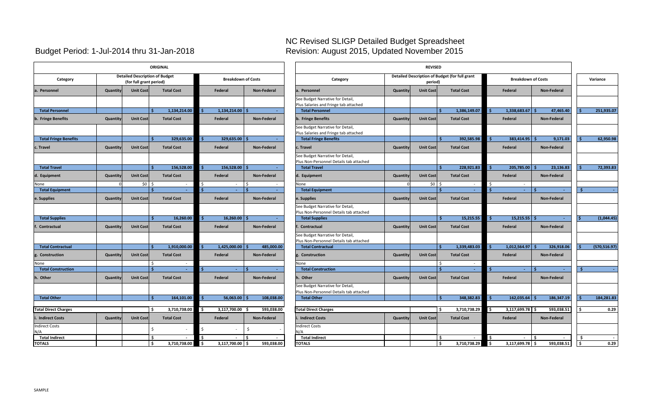#### NC Revised SLIGP Detailed Budget Spreadsheet Budget Period: 1-Jul-2014 thru 31-Jan-2018 Revision: August 2015, Updated November 2015

|                              |          |                                                                  | <b>ORIGINAL</b>   |                   |              |                           |                    |            | <b>REVISED</b><br>Detailed Description of Budget (for full grant            |          |                  |                         |                   |          |               |
|------------------------------|----------|------------------------------------------------------------------|-------------------|-------------------|--------------|---------------------------|--------------------|------------|-----------------------------------------------------------------------------|----------|------------------|-------------------------|-------------------|----------|---------------|
| Category                     |          | <b>Detailed Description of Budget</b><br>(for full grant period) |                   |                   |              | <b>Breakdown of Costs</b> |                    |            | Category                                                                    |          | period)          |                         |                   |          | <b>Breakd</b> |
| a. Personnel                 | Quantity | <b>Unit Cost</b>                                                 |                   | <b>Total Cost</b> |              | Federal                   | Non-Federal        |            | a. Personnel                                                                | Quantity | <b>Unit Cost</b> |                         | <b>Total Cost</b> |          | Federal       |
|                              |          |                                                                  |                   |                   |              |                           |                    |            | See Budget Narrative for Detail,<br>Plus Salaries and Fringe tab attached   |          |                  |                         |                   |          |               |
| <b>Total Personnel</b>       |          |                                                                  | Ŝ.                | 1,134,214.00      | -Ś           | $1,134,214.00$ \$         |                    |            | <b>Total Personnel</b>                                                      |          |                  | Ś.                      | 1,386,149.07      | Ŝ.       | 1,338,683     |
| b. Fringe Benefits           | Quantity | <b>Unit Cost</b>                                                 |                   | <b>Total Cost</b> |              | Federal                   | Non-Federal        |            | b. Fringe Benefits                                                          | Quantity | <b>Unit Cost</b> |                         | <b>Total Cost</b> |          | Federal       |
|                              |          |                                                                  |                   |                   |              |                           |                    |            | See Budget Narrative for Detail,<br>Plus Salaries and Fringe tab attached   |          |                  |                         |                   |          |               |
| <b>Total Fringe Benefits</b> |          |                                                                  | Ŝ                 | 329,635.00        | Ŝ.           | $329,635.00$ \$           |                    |            | <b>Total Fringe Benefits</b>                                                |          |                  | Ś.                      | 392,585.98        |          | 383,414       |
| c. Travel                    | Quantity | <b>Unit Cost</b>                                                 | <b>Total Cost</b> |                   |              | Federal                   | Non-Federal        |            | c. Travel                                                                   | Quantity | <b>Unit Cost</b> |                         | <b>Total Cost</b> |          | Federal       |
|                              |          |                                                                  |                   |                   |              |                           |                    |            | See Budget Narrative for Detail,<br>Plus Non-Personnel Details tab attached |          |                  |                         |                   |          |               |
| <b>Total Travel</b>          |          |                                                                  | Ŝ.                | 156,528.00        | Ŝ.           | 156,528.00 \$             |                    |            | <b>Total Travel</b>                                                         |          |                  | Ś.                      | 228,921.83        |          | 205,785       |
| d. Equipment                 | Quantity | <b>Unit Cost</b>                                                 |                   | <b>Total Cost</b> |              | Federal                   | <b>Non-Federal</b> |            | d. Equipment                                                                | Quantity | <b>Unit Cost</b> |                         | <b>Total Cost</b> |          | Federal       |
| None                         |          | \$0                                                              | \$                | $\sim$            | \$           | $\sim$                    | Ŝ.                 |            | None                                                                        |          | \$0              | Ś                       | $\sim$            | \$       |               |
| <b>Total Equipment</b>       |          |                                                                  | <b>S</b>          | $\sim$            | -\$          | $\omega$                  | Ś                  |            | <b>Total Equipment</b>                                                      |          |                  | Ś.                      | $\sim$            | Ŝ.       |               |
| e. Supplies                  | Quantity | <b>Unit Cost</b>                                                 |                   | <b>Total Cost</b> |              | Federal                   | Non-Federal        |            | e. Supplies                                                                 | Quantity | <b>Unit Cost</b> |                         | <b>Total Cost</b> |          | Federal       |
|                              |          |                                                                  |                   |                   |              |                           |                    |            | See Budget Narrative for Detail,<br>Plus Non-Personnel Details tab attached |          |                  |                         |                   |          |               |
| <b>Total Supplies</b>        |          |                                                                  | Ŝ.                | 16,260.00         | -Ś.          | 16,260.00                 |                    |            | <b>Total Supplies</b>                                                       |          |                  |                         | 15,215.55         | <b>S</b> | 15,215        |
| f<br>Contractual             | Quantity | <b>Unit Cost</b>                                                 |                   | <b>Total Cost</b> |              | Federal                   | Non-Federal        |            | Contractual                                                                 | Quantity | <b>Unit Cost</b> |                         | <b>Total Cost</b> |          | Federal       |
|                              |          |                                                                  |                   |                   |              |                           |                    |            | See Budget Narrative for Detail,<br>Plus Non-Personnel Details tab attached |          |                  |                         |                   |          |               |
| <b>Total Contractual</b>     |          |                                                                  | Š.                | 1,910,000.00      | -Ś           | 1,425,000.00              |                    | 485,000.00 | <b>Total Contractual</b>                                                    |          |                  |                         | 1,339,483.03      | -Ś       | 1,012,564     |
| g. Construction              | Quantity | <b>Unit Cost</b>                                                 |                   | <b>Total Cost</b> |              | Federal                   | <b>Non-Federal</b> |            | g. Construction                                                             | Quantity | <b>Unit Cost</b> |                         | <b>Total Cost</b> |          | Federal       |
| None                         |          |                                                                  | Ŝ                 | $\sim$            |              |                           |                    |            | None                                                                        |          |                  | Ŝ.                      | $\sim$            |          |               |
| <b>Total Construction</b>    |          |                                                                  | Š.                | $\omega$ .        | $\mathsf{s}$ | $\sim$                    |                    |            | <b>Total Construction</b>                                                   |          |                  | Š.                      | $\omega_{\rm c}$  | Ŝ.       |               |
| h. Other                     | Quantity | <b>Unit Cost</b>                                                 |                   | <b>Total Cost</b> |              | Federal                   | Non-Federal        |            | h. Other                                                                    | Quantity | <b>Unit Cost</b> |                         | <b>Total Cost</b> |          | Federal       |
|                              |          |                                                                  |                   |                   |              |                           |                    |            | See Budget Narrative for Detail,<br>Plus Non-Personnel Details tab attached |          |                  |                         |                   |          |               |
| <b>Total Other</b>           |          |                                                                  | Ŝ.                | 164,101.00        | -\$          | $56,063.00$ \$            |                    | 108,038.00 | <b>Total Other</b>                                                          |          |                  | Ś.                      | 348,382.83        | <b>s</b> | 162,035       |
|                              |          |                                                                  |                   |                   |              |                           |                    |            |                                                                             |          |                  |                         |                   |          |               |
| <b>Total Direct Charges</b>  |          |                                                                  | \$                | 3,710,738.00      | 5            | 3,117,700.00 \$           |                    | 593,038.00 | <b>Total Direct Charges</b>                                                 |          |                  | Ś.                      | 3,710,738.29      | l\$      | 3,117,699     |
| <b>Indirect Costs</b>        | Quantity | <b>Unit Cost</b>                                                 |                   | <b>Total Cost</b> |              | Federal                   | Non-Federal        |            | <b>Indirect Costs</b>                                                       | Quantity | <b>Unit Cost</b> |                         | <b>Total Cost</b> |          | Federal       |
| <b>Indirect Costs</b><br>N/A |          |                                                                  | \$                |                   | \$           |                           | \$                 |            | <b>Indirect Costs</b><br>N/A                                                |          |                  |                         |                   |          |               |
| <b>Total Indirect</b>        |          |                                                                  | \$                | $\sim$            | \$.          |                           | -\$                |            | <b>Total Indirect</b>                                                       |          |                  | \$                      |                   | \$       |               |
| <b>TOTALS</b>                |          |                                                                  | \$                | 3,710,738.00      | l\$          | $3,117,700.00$ \$         |                    | 593,038.00 | <b>TOTALS</b>                                                               |          |                  | $\overline{\mathsf{S}}$ | 3,710,738.29      | l\$      | 3,117,699     |

|                              |          |                                                                  | <b>ORIGINAL</b>          |                           |                    | <b>REVISED</b><br>Detailed Description of Budget (for full grant            |          |                  |                      |                            |                    |    |              |
|------------------------------|----------|------------------------------------------------------------------|--------------------------|---------------------------|--------------------|-----------------------------------------------------------------------------|----------|------------------|----------------------|----------------------------|--------------------|----|--------------|
| Category                     |          | <b>Detailed Description of Budget</b><br>(for full grant period) |                          | <b>Breakdown of Costs</b> |                    | Category                                                                    |          | period)          |                      | <b>Breakdown of Costs</b>  |                    |    | Variance     |
| a. Personnel                 | Quantity | <b>Unit Cost</b>                                                 | <b>Total Cost</b>        | Federal                   | <b>Non-Federal</b> | a. Personnel                                                                | Quantity | <b>Unit Cost</b> | <b>Total Cost</b>    | Federal                    | <b>Non-Federal</b> |    |              |
|                              |          |                                                                  |                          |                           |                    | See Budget Narrative for Detail,<br>Plus Salaries and Fringe tab attached   |          |                  |                      |                            |                    |    |              |
| <b>Total Personnel</b>       |          |                                                                  | 1,134,214.00             | 1,134,214.00<br>l S       |                    | <b>Total Personnel</b>                                                      |          |                  | 1,386,149.07         | 1,338,683.67<br>-Ś         | 47,465.40          |    | 251,935.07   |
| b. Fringe Benefits           | Quantity | <b>Unit Cost</b>                                                 | <b>Total Cost</b>        | Federal                   | Non-Federal        | b. Fringe Benefits                                                          | Quantity | <b>Unit Cost</b> | <b>Total Cost</b>    | Federal                    | Non-Federal        |    |              |
|                              |          |                                                                  |                          |                           |                    | See Budget Narrative for Detail,<br>Plus Salaries and Fringe tab attached   |          |                  |                      |                            |                    |    |              |
| <b>Total Fringe Benefits</b> |          |                                                                  | 329,635.00               | 329,635.00                |                    | <b>Total Fringe Benefits</b>                                                |          |                  | 392,585.98           | 383,414.95<br>-Ś           | 9,171.03           |    | 62,950.98    |
| c. Travel                    | Quantity | <b>Unit Cost</b>                                                 | <b>Total Cost</b>        | Federal                   | Non-Federal        | c. Travel                                                                   | Quantity | <b>Unit Cost</b> | <b>Total Cost</b>    | Federal                    | Non-Federal        |    |              |
|                              |          |                                                                  |                          |                           |                    | See Budget Narrative for Detail,<br>Plus Non-Personnel Details tab attached |          |                  |                      |                            |                    |    |              |
| <b>Total Travel</b>          |          |                                                                  | 156,528.00               | 156,528.00                |                    | <b>Total Travel</b>                                                         |          |                  | 228,921.83           | -\$<br>205,785.00          | 23,136.83          |    | 72,393.83    |
| d. Equipment                 | Quantity | <b>Unit Cost</b>                                                 | <b>Total Cost</b>        | Federal                   | Non-Federal        | d. Equipment                                                                | Quantity | <b>Unit Cost</b> | <b>Total Cost</b>    | Federal                    | <b>Non-Federal</b> |    |              |
| None                         |          | $50 \quad$                                                       | $\sim$                   | Ŝ.                        | Ŝ.                 | None                                                                        |          | 50 <sub>5</sub>  | $\sim$               | \$                         |                    |    |              |
| <b>Total Equipment</b>       |          |                                                                  | $\sim$                   | $\mathsf{S}$<br>$\sim$    |                    | <b>Total Equipment</b>                                                      |          |                  | $\sim$               | $\mathsf{S}$<br>$\sim$     | $\sim$             | .Ŝ |              |
| e. Supplies                  | Quantity | <b>Unit Cost</b>                                                 | <b>Total Cost</b>        | Federal                   | Non-Federal        | e. Supplies                                                                 | Quantity | <b>Unit Cost</b> | <b>Total Cost</b>    | Federal                    | Non-Federal        |    |              |
|                              |          |                                                                  |                          |                           |                    | See Budget Narrative for Detail,<br>Plus Non-Personnel Details tab attached |          |                  |                      |                            |                    |    |              |
| <b>Total Supplies</b>        |          |                                                                  | 16,260.00<br>Ś           | 16,260.00                 |                    | <b>Total Supplies</b>                                                       |          |                  | 15,215.55            | 15,215.55                  |                    |    | (1,044.45)   |
| f. Contractual               | Quantity | <b>Unit Cost</b>                                                 | <b>Total Cost</b>        | Federal                   | Non-Federal        | Contractual                                                                 | Quantity | <b>Unit Cost</b> | <b>Total Cost</b>    | Federal                    | Non-Federal        |    |              |
|                              |          |                                                                  |                          |                           |                    | See Budget Narrative for Detail,<br>Plus Non-Personnel Details tab attached |          |                  |                      |                            |                    |    |              |
| <b>Total Contractual</b>     |          |                                                                  | 1,910,000.00             | 1,425,000.00              | 485,000.00         | <b>Total Contractual</b>                                                    |          |                  | 1,339,483.03         | 1,012,564.97               | 326,918.06         |    | (570,516.97) |
| Construction                 | Quantity | <b>Unit Cost</b>                                                 | <b>Total Cost</b>        | Federal                   | Non-Federal        | g. Construction                                                             | Quantity | <b>Unit Cost</b> | <b>Total Cost</b>    | Federal                    | Non-Federal        |    |              |
| None                         |          |                                                                  |                          |                           |                    | None                                                                        |          |                  | $\sim$               |                            |                    |    |              |
| <b>Total Construction</b>    |          |                                                                  | $\sim$                   | $\sim$                    |                    | <b>Total Construction</b>                                                   |          |                  | $\sim$               | -Ś<br>÷.                   |                    | Ŝ  |              |
| . Other                      | Quantity | <b>Unit Cost</b>                                                 | <b>Total Cost</b>        | Federal                   | Non-Federal        | h. Other                                                                    | Quantity | <b>Unit Cost</b> | <b>Total Cost</b>    | Federal                    | Non-Federal        |    |              |
|                              |          |                                                                  |                          |                           |                    | See Budget Narrative for Detail,<br>Plus Non-Personnel Details tab attached |          |                  |                      |                            |                    |    |              |
| <b>Total Other</b>           |          |                                                                  | 164,101.00<br>Ś          | $56,063.00$ \$            | 108,038.00         | <b>Total Other</b>                                                          |          |                  | 348,382.83<br>- Ś    | 162,035.64<br>-Ś           | 186,347.19         |    | 184,281.83   |
|                              |          |                                                                  |                          |                           |                    |                                                                             |          |                  |                      |                            |                    |    |              |
| <b>Total Direct Charges</b>  |          |                                                                  | 3,710,738.00<br>-Ś       | I\$<br>3,117,700.00 \$    | 593,038.00         | <b>Total Direct Charges</b>                                                 |          |                  | 3,710,738.29<br>- \$ | $3,117,699.78$ \$<br>l \$  | 593,038.51         |    | 0.29         |
| i. Indirect Costs            | Quantity | <b>Unit Cost</b>                                                 | <b>Total Cost</b>        | Federal                   | Non-Federal        | <b>Indirect Costs</b>                                                       | Quantity | <b>Unit Cost</b> | <b>Total Cost</b>    | Federal                    | Non-Federal        |    |              |
| <b>Indirect Costs</b><br>N/A |          |                                                                  | Ś                        |                           | Ŝ.                 | <b>Indirect Costs</b><br>۷A/                                                |          |                  |                      |                            |                    |    |              |
| <b>Total Indirect</b>        |          |                                                                  | \$                       | \$                        | -Ś.                | <b>Total Indirect</b>                                                       |          |                  | $\sim$               | l \$                       |                    | Ś. |              |
| <b>TOTALS</b>                |          |                                                                  | 3,710,738.00<br><b>S</b> | $3,117,700.00$ \$<br>I\$  | 593.038.00         | <b>TOTALS</b>                                                               |          |                  | 3,710,738.29<br>l \$ | $\sqrt{5}$<br>3,117,699.78 | 593,038.51         | ۱s | 0.29         |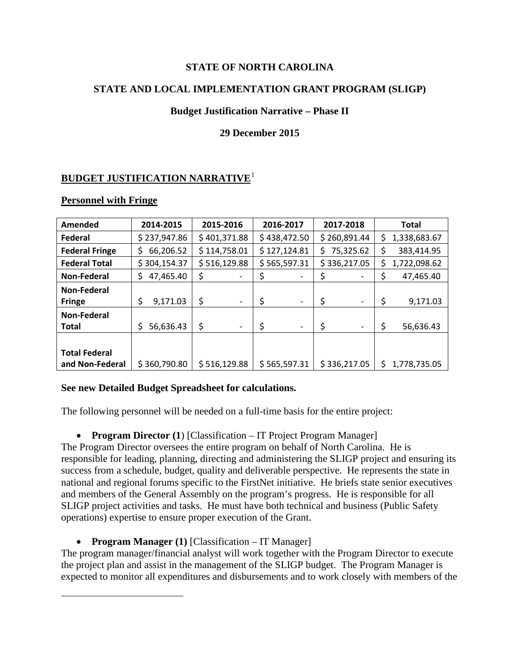#### **STATE OF NORTH CAROLINA**

#### **STATE AND LOCAL IMPLEMENTATION GRANT PROGRAM (SLIGP)**

#### **Budget Justification Narrative – Phase II**

#### **29 December 2015**

### **BUDGET JUSTIFICATION NARRATIVE**<sup>1</sup>

#### **Personnel with Fringe**

 $\overline{a}$ 

| Amended               | 2014-2015       | 2015-2016                      | 2016-2017                      | 2017-2018                      | <b>Total</b>       |
|-----------------------|-----------------|--------------------------------|--------------------------------|--------------------------------|--------------------|
| Federal               | \$237,947.86    | \$401,371.88                   | \$438,472.50                   | \$260,891.44                   | \$<br>1,338,683.67 |
| <b>Federal Fringe</b> | 66,206.52<br>S  | \$114,758.01                   | \$127,124.81                   | 75,325.62<br>S.                | \$<br>383,414.95   |
| <b>Federal Total</b>  | \$304,154.37    | \$516,129.88                   | \$565,597.31                   | \$336,217.05                   | 1,722,098.62<br>\$ |
| Non-Federal           | 47,465.40<br>Ś. | \$                             |                                | \$<br>$\overline{\phantom{0}}$ | \$<br>47,465.40    |
| Non-Federal           |                 |                                |                                |                                |                    |
| <b>Fringe</b>         | \$<br>9,171.03  | \$<br>$\overline{\phantom{a}}$ | \$<br>$\overline{\phantom{a}}$ | \$<br>$\overline{\phantom{a}}$ | \$<br>9,171.03     |
| Non-Federal           |                 |                                |                                |                                |                    |
| <b>Total</b>          | 56,636.43<br>Ś  | \$<br>$\overline{\phantom{a}}$ | \$<br>$\overline{\phantom{a}}$ | \$<br>$\overline{\phantom{0}}$ | \$<br>56,636.43    |
|                       |                 |                                |                                |                                |                    |
| <b>Total Federal</b>  |                 |                                |                                |                                |                    |
| and Non-Federal       | \$360,790.80    | \$516,129.88                   | \$565,597.31                   | \$336,217.05                   | Ś<br>1,778,735.05  |

#### **See new Detailed Budget Spreadsheet for calculations.**

The following personnel will be needed on a full-time basis for the entire project:

• **Program Director** (1) [Classification – IT Project Program Manager]

The Program Director oversees the entire program on behalf of North Carolina. He is responsible for leading, planning, directing and administering the SLIGP project and ensuring its success from a schedule, budget, quality and deliverable perspective. He represents the state in national and regional forums specific to the FirstNet initiative. He briefs state senior executives and members of the General Assembly on the program's progress. He is responsible for all SLIGP project activities and tasks. He must have both technical and business (Public Safety operations) expertise to ensure proper execution of the Grant.

• **Program Manager (1)** [Classification – IT Manager]

The program manager/financial analyst will work together with the Program Director to execute the project plan and assist in the management of the SLIGP budget. The Program Manager is expected to monitor all expenditures and disbursements and to work closely with members of the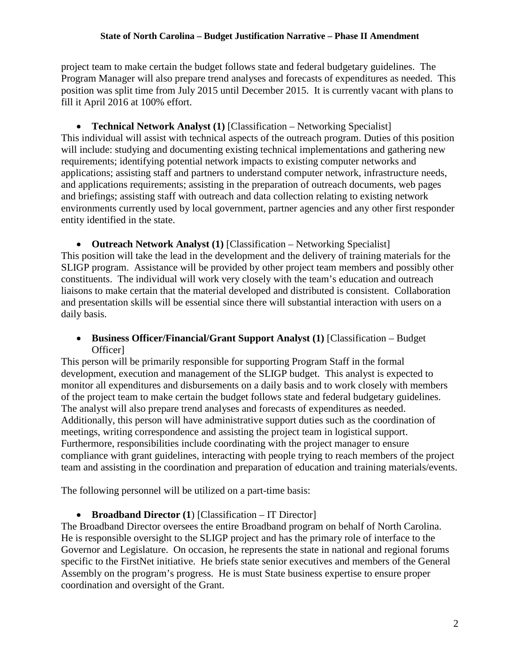project team to make certain the budget follows state and federal budgetary guidelines. The Program Manager will also prepare trend analyses and forecasts of expenditures as needed. This position was split time from July 2015 until December 2015. It is currently vacant with plans to fill it April 2016 at 100% effort.

• **Technical Network Analyst (1)** [Classification – Networking Specialist] This individual will assist with technical aspects of the outreach program. Duties of this position will include: studying and documenting existing technical implementations and gathering new requirements; identifying potential network impacts to existing computer networks and applications; assisting staff and partners to understand computer network, infrastructure needs, and applications requirements; assisting in the preparation of outreach documents, web pages and briefings; assisting staff with outreach and data collection relating to existing network environments currently used by local government, partner agencies and any other first responder entity identified in the state.

• **Outreach Network Analyst (1)** [Classification – Networking Specialist] This position will take the lead in the development and the delivery of training materials for the SLIGP program. Assistance will be provided by other project team members and possibly other constituents. The individual will work very closely with the team's education and outreach liaisons to make certain that the material developed and distributed is consistent. Collaboration and presentation skills will be essential since there will substantial interaction with users on a daily basis.

#### • **Business Officer/Financial/Grant Support Analyst (1)** [Classification – Budget Officer]

This person will be primarily responsible for supporting Program Staff in the formal development, execution and management of the SLIGP budget. This analyst is expected to monitor all expenditures and disbursements on a daily basis and to work closely with members of the project team to make certain the budget follows state and federal budgetary guidelines. The analyst will also prepare trend analyses and forecasts of expenditures as needed. Additionally, this person will have administrative support duties such as the coordination of meetings, writing correspondence and assisting the project team in logistical support. Furthermore, responsibilities include coordinating with the project manager to ensure compliance with grant guidelines, interacting with people trying to reach members of the project team and assisting in the coordination and preparation of education and training materials/events.

The following personnel will be utilized on a part-time basis:

• **Broadband Director (1**) [Classification – IT Director]

The Broadband Director oversees the entire Broadband program on behalf of North Carolina. He is responsible oversight to the SLIGP project and has the primary role of interface to the Governor and Legislature. On occasion, he represents the state in national and regional forums specific to the FirstNet initiative. He briefs state senior executives and members of the General Assembly on the program's progress. He is must State business expertise to ensure proper coordination and oversight of the Grant.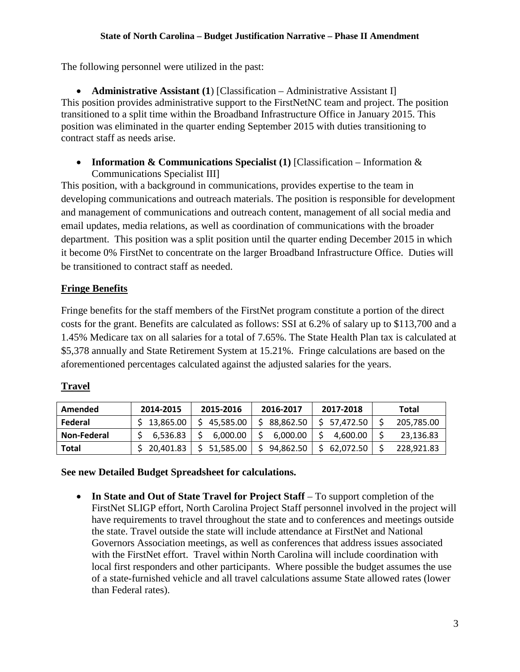#### **State of North Carolina – Budget Justification Narrative – Phase II Amendment**

The following personnel were utilized in the past:

• **Administrative Assistant (1)** [Classification – Administrative Assistant I] This position provides administrative support to the FirstNetNC team and project. The position transitioned to a split time within the Broadband Infrastructure Office in January 2015. This position was eliminated in the quarter ending September 2015 with duties transitioning to contract staff as needs arise.

• **Information & Communications Specialist (1)** [Classification – Information & Communications Specialist III]

This position, with a background in communications, provides expertise to the team in developing communications and outreach materials. The position is responsible for development and management of communications and outreach content, management of all social media and email updates, media relations, as well as coordination of communications with the broader department. This position was a split position until the quarter ending December 2015 in which it become 0% FirstNet to concentrate on the larger Broadband Infrastructure Office. Duties will be transitioned to contract staff as needed.

### **Fringe Benefits**

Fringe benefits for the staff members of the FirstNet program constitute a portion of the direct costs for the grant. Benefits are calculated as follows: SSI at 6.2% of salary up to \$113,700 and a 1.45% Medicare tax on all salaries for a total of 7.65%. The State Health Plan tax is calculated at \$5,378 annually and State Retirement System at 15.21%. Fringe calculations are based on the aforementioned percentages calculated against the adjusted salaries for the years.

#### **Travel**

| Amended     | 2014-2015   | 2015-2016   | 2016-2017 | 2017-2018    | Total      |
|-------------|-------------|-------------|-----------|--------------|------------|
| Federal     | \$13,865.00 | \$45,585.00 | 88,862.50 | \$ 57.472.50 | 205,785.00 |
| Non-Federal | 6.536.83    | 6.000.00    | 6.000.00  | 4.600.00     | 23,136.83  |
| Total       | 20,401.83   | \$51,585.00 | 94.862.50 | 62.072.50    | 228,921.83 |

**See new Detailed Budget Spreadsheet for calculations.**

• **In State and Out of State Travel for Project Staff** – To support completion of the FirstNet SLIGP effort, North Carolina Project Staff personnel involved in the project will have requirements to travel throughout the state and to conferences and meetings outside the state. Travel outside the state will include attendance at FirstNet and National Governors Association meetings, as well as conferences that address issues associated with the FirstNet effort. Travel within North Carolina will include coordination with local first responders and other participants. Where possible the budget assumes the use of a state-furnished vehicle and all travel calculations assume State allowed rates (lower than Federal rates).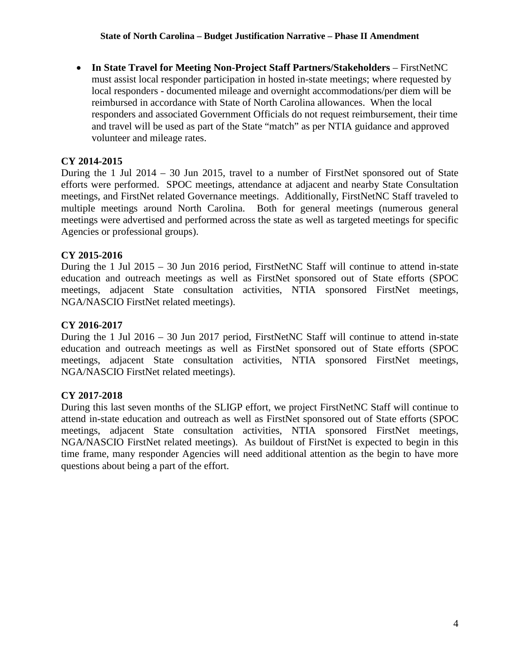• **In State Travel for Meeting Non-Project Staff Partners/Stakeholders** – FirstNetNC must assist local responder participation in hosted in-state meetings; where requested by local responders - documented mileage and overnight accommodations/per diem will be reimbursed in accordance with State of North Carolina allowances. When the local responders and associated Government Officials do not request reimbursement, their time and travel will be used as part of the State "match" as per NTIA guidance and approved volunteer and mileage rates.

#### **CY 2014-2015**

During the 1 Jul 2014 – 30 Jun 2015, travel to a number of FirstNet sponsored out of State efforts were performed. SPOC meetings, attendance at adjacent and nearby State Consultation meetings, and FirstNet related Governance meetings. Additionally, FirstNetNC Staff traveled to multiple meetings around North Carolina. Both for general meetings (numerous general meetings were advertised and performed across the state as well as targeted meetings for specific Agencies or professional groups).

### **CY 2015-2016**

During the 1 Jul 2015 – 30 Jun 2016 period, FirstNetNC Staff will continue to attend in-state education and outreach meetings as well as FirstNet sponsored out of State efforts (SPOC meetings, adjacent State consultation activities, NTIA sponsored FirstNet meetings, NGA/NASCIO FirstNet related meetings).

#### **CY 2016-2017**

During the 1 Jul 2016 – 30 Jun 2017 period, FirstNetNC Staff will continue to attend in-state education and outreach meetings as well as FirstNet sponsored out of State efforts (SPOC meetings, adjacent State consultation activities, NTIA sponsored FirstNet meetings, NGA/NASCIO FirstNet related meetings).

#### **CY 2017-2018**

During this last seven months of the SLIGP effort, we project FirstNetNC Staff will continue to attend in-state education and outreach as well as FirstNet sponsored out of State efforts (SPOC meetings, adjacent State consultation activities, NTIA sponsored FirstNet meetings, NGA/NASCIO FirstNet related meetings). As buildout of FirstNet is expected to begin in this time frame, many responder Agencies will need additional attention as the begin to have more questions about being a part of the effort.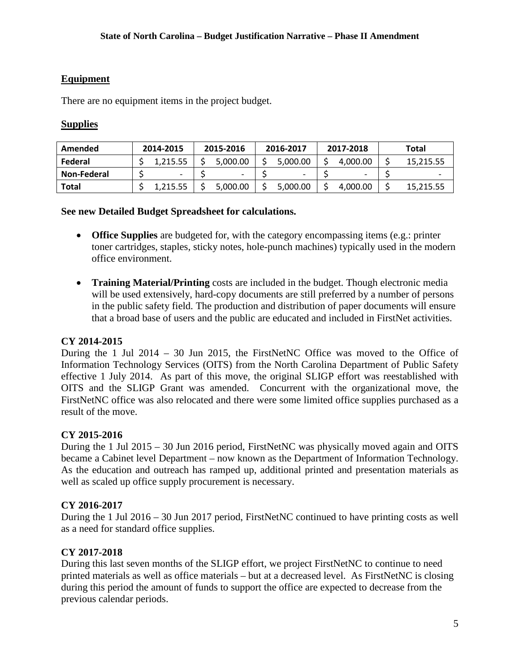#### **Equipment**

There are no equipment items in the project budget.

### **Supplies**

| Amended     | 2014-2015 | 2015-2016 | 2016-2017 | 2017-2018 | Total     |
|-------------|-----------|-----------|-----------|-----------|-----------|
| Federal     | 1.215.55  | 5.000.00  | 5.000.00  | 4.000.00  | 15.215.55 |
| Non-Federal |           |           |           | -         |           |
| Total       | 1,215.55  | 5.000.00  | 5,000.00  | 4.000.00  | 15,215.55 |

#### **See new Detailed Budget Spreadsheet for calculations.**

- **Office Supplies** are budgeted for, with the category encompassing items (e.g.: printer toner cartridges, staples, sticky notes, hole-punch machines) typically used in the modern office environment.
- **Training Material/Printing** costs are included in the budget. Though electronic media will be used extensively, hard-copy documents are still preferred by a number of persons in the public safety field. The production and distribution of paper documents will ensure that a broad base of users and the public are educated and included in FirstNet activities.

#### **CY 2014-2015**

During the 1 Jul 2014 – 30 Jun 2015, the FirstNetNC Office was moved to the Office of Information Technology Services (OITS) from the North Carolina Department of Public Safety effective 1 July 2014. As part of this move, the original SLIGP effort was reestablished with OITS and the SLIGP Grant was amended. Concurrent with the organizational move, the FirstNetNC office was also relocated and there were some limited office supplies purchased as a result of the move.

#### **CY 2015-2016**

During the 1 Jul 2015 – 30 Jun 2016 period, FirstNetNC was physically moved again and OITS became a Cabinet level Department – now known as the Department of Information Technology. As the education and outreach has ramped up, additional printed and presentation materials as well as scaled up office supply procurement is necessary.

#### **CY 2016-2017**

During the 1 Jul 2016 – 30 Jun 2017 period, FirstNetNC continued to have printing costs as well as a need for standard office supplies.

#### **CY 2017-2018**

During this last seven months of the SLIGP effort, we project FirstNetNC to continue to need printed materials as well as office materials – but at a decreased level. As FirstNetNC is closing during this period the amount of funds to support the office are expected to decrease from the previous calendar periods.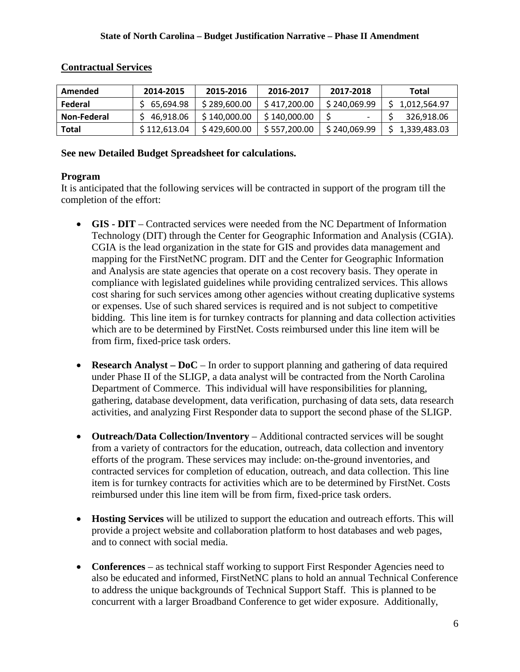| Amended      | 2014-2015    | 2015-2016    | 2016-2017    | 2017-2018    | Total          |
|--------------|--------------|--------------|--------------|--------------|----------------|
| Federal      | \$65.694.98  | \$289,600.00 | \$417,200.00 | \$240,069.99 | \$1,012,564.97 |
| Non-Federal  | 46.918.06    | \$140,000.00 | \$140,000,00 |              | 326,918.06     |
| <b>Total</b> | \$112,613.04 | \$429,600.00 | \$557,200.00 | \$240,069.99 | \$1,339,483.03 |

#### **Contractual Services**

#### **See new Detailed Budget Spreadsheet for calculations.**

### **Program**

It is anticipated that the following services will be contracted in support of the program till the completion of the effort:

- **GIS DIT** Contracted services were needed from the NC Department of Information Technology (DIT) through the Center for Geographic Information and Analysis (CGIA). CGIA is the lead organization in the state for GIS and provides data management and mapping for the FirstNetNC program. DIT and the Center for Geographic Information and Analysis are state agencies that operate on a cost recovery basis. They operate in compliance with legislated guidelines while providing centralized services. This allows cost sharing for such services among other agencies without creating duplicative systems or expenses. Use of such shared services is required and is not subject to competitive bidding. This line item is for turnkey contracts for planning and data collection activities which are to be determined by FirstNet. Costs reimbursed under this line item will be from firm, fixed-price task orders.
- **Research Analyst DoC** In order to support planning and gathering of data required under Phase II of the SLIGP, a data analyst will be contracted from the North Carolina Department of Commerce. This individual will have responsibilities for planning, gathering, database development, data verification, purchasing of data sets, data research activities, and analyzing First Responder data to support the second phase of the SLIGP.
- **Outreach/Data Collection/Inventory** Additional contracted services will be sought from a variety of contractors for the education, outreach, data collection and inventory efforts of the program. These services may include: on-the-ground inventories, and contracted services for completion of education, outreach, and data collection. This line item is for turnkey contracts for activities which are to be determined by FirstNet. Costs reimbursed under this line item will be from firm, fixed-price task orders.
- **Hosting Services** will be utilized to support the education and outreach efforts. This will provide a project website and collaboration platform to host databases and web pages, and to connect with social media.
- **Conferences** as technical staff working to support First Responder Agencies need to also be educated and informed, FirstNetNC plans to hold an annual Technical Conference to address the unique backgrounds of Technical Support Staff. This is planned to be concurrent with a larger Broadband Conference to get wider exposure. Additionally,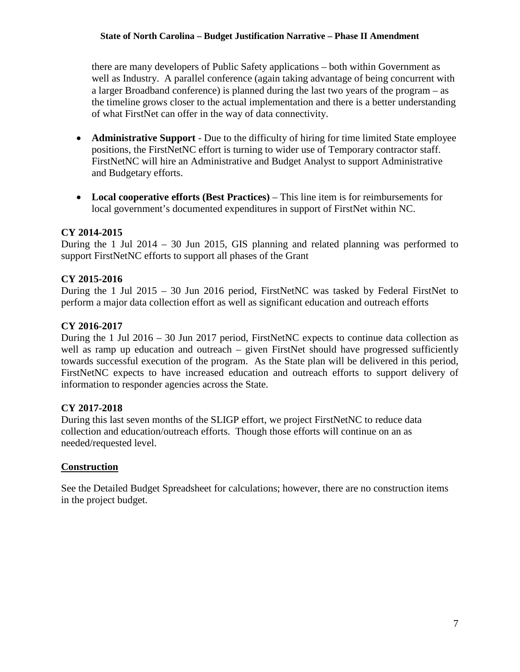#### **State of North Carolina – Budget Justification Narrative – Phase II Amendment**

there are many developers of Public Safety applications – both within Government as well as Industry. A parallel conference (again taking advantage of being concurrent with a larger Broadband conference) is planned during the last two years of the program – as the timeline grows closer to the actual implementation and there is a better understanding of what FirstNet can offer in the way of data connectivity.

- **Administrative Support** Due to the difficulty of hiring for time limited State employee positions, the FirstNetNC effort is turning to wider use of Temporary contractor staff. FirstNetNC will hire an Administrative and Budget Analyst to support Administrative and Budgetary efforts.
- **Local cooperative efforts (Best Practices)**  This line item is for reimbursements for local government's documented expenditures in support of FirstNet within NC.

#### **CY 2014-2015**

During the 1 Jul 2014 – 30 Jun 2015, GIS planning and related planning was performed to support FirstNetNC efforts to support all phases of the Grant

#### **CY 2015-2016**

During the 1 Jul 2015 – 30 Jun 2016 period, FirstNetNC was tasked by Federal FirstNet to perform a major data collection effort as well as significant education and outreach efforts

#### **CY 2016-2017**

During the 1 Jul 2016 – 30 Jun 2017 period, FirstNetNC expects to continue data collection as well as ramp up education and outreach – given FirstNet should have progressed sufficiently towards successful execution of the program. As the State plan will be delivered in this period, FirstNetNC expects to have increased education and outreach efforts to support delivery of information to responder agencies across the State.

#### **CY 2017-2018**

During this last seven months of the SLIGP effort, we project FirstNetNC to reduce data collection and education/outreach efforts. Though those efforts will continue on an as needed/requested level.

#### **Construction**

See the Detailed Budget Spreadsheet for calculations; however, there are no construction items in the project budget.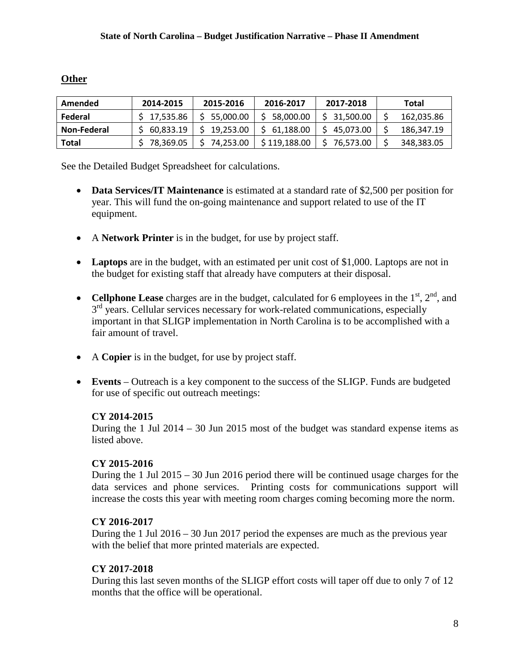#### **Other**

| Amended      | 2014-2015   | 2015-2016   | 2016-2017    | 2017-2018   | Total      |
|--------------|-------------|-------------|--------------|-------------|------------|
| Federal      | \$17,535.86 | \$5,000.00  | 58,000.00    | \$31,500.00 | 162,035.86 |
| Non-Federal  | 60.833.19   | 19.253.00   | \$61,188.00  | \$45.073.00 | 186,347.19 |
| <b>Total</b> | 78,369.05   | \$74,253.00 | \$119,188.00 | \$76.573.00 | 348,383.05 |

See the Detailed Budget Spreadsheet for calculations.

- **Data Services/IT Maintenance** is estimated at a standard rate of \$2,500 per position for year. This will fund the on-going maintenance and support related to use of the IT equipment.
- A **Network Printer** is in the budget, for use by project staff.
- Laptops are in the budget, with an estimated per unit cost of \$1,000. Laptops are not in the budget for existing staff that already have computers at their disposal.
- **Cellphone Lease** charges are in the budget, calculated for 6 employees in the  $1<sup>st</sup>$ ,  $2<sup>nd</sup>$ , and  $3<sup>rd</sup>$  years. Cellular services necessary for work-related communications, especially important in that SLIGP implementation in North Carolina is to be accomplished with a fair amount of travel.
- A **Copier** is in the budget, for use by project staff.
- **Events** Outreach is a key component to the success of the SLIGP. Funds are budgeted for use of specific out outreach meetings:

#### **CY 2014-2015**

During the 1 Jul 2014 – 30 Jun 2015 most of the budget was standard expense items as listed above.

#### **CY 2015-2016**

During the 1 Jul 2015 – 30 Jun 2016 period there will be continued usage charges for the data services and phone services. Printing costs for communications support will increase the costs this year with meeting room charges coming becoming more the norm.

#### **CY 2016-2017**

During the 1 Jul 2016 – 30 Jun 2017 period the expenses are much as the previous year with the belief that more printed materials are expected.

#### **CY 2017-2018**

During this last seven months of the SLIGP effort costs will taper off due to only 7 of 12 months that the office will be operational.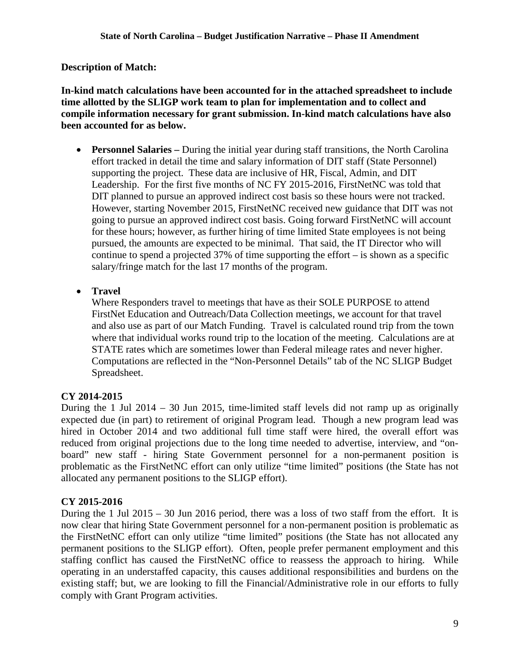**Description of Match:** 

**In-kind match calculations have been accounted for in the attached spreadsheet to include time allotted by the SLIGP work team to plan for implementation and to collect and compile information necessary for grant submission. In-kind match calculations have also been accounted for as below.** 

• **Personnel Salaries** – During the initial year during staff transitions, the North Carolina effort tracked in detail the time and salary information of DIT staff (State Personnel) supporting the project. These data are inclusive of HR, Fiscal, Admin, and DIT Leadership. For the first five months of NC FY 2015-2016, FirstNetNC was told that DIT planned to pursue an approved indirect cost basis so these hours were not tracked. However, starting November 2015, FirstNetNC received new guidance that DIT was not going to pursue an approved indirect cost basis. Going forward FirstNetNC will account for these hours; however, as further hiring of time limited State employees is not being pursued, the amounts are expected to be minimal. That said, the IT Director who will continue to spend a projected 37% of time supporting the effort – is shown as a specific salary/fringe match for the last 17 months of the program.

• **Travel**

Where Responders travel to meetings that have as their SOLE PURPOSE to attend FirstNet Education and Outreach/Data Collection meetings, we account for that travel and also use as part of our Match Funding. Travel is calculated round trip from the town where that individual works round trip to the location of the meeting. Calculations are at STATE rates which are sometimes lower than Federal mileage rates and never higher. Computations are reflected in the "Non-Personnel Details" tab of the NC SLIGP Budget Spreadsheet.

### **CY 2014-2015**

During the 1 Jul 2014 – 30 Jun 2015, time-limited staff levels did not ramp up as originally expected due (in part) to retirement of original Program lead. Though a new program lead was hired in October 2014 and two additional full time staff were hired, the overall effort was reduced from original projections due to the long time needed to advertise, interview, and "onboard" new staff - hiring State Government personnel for a non-permanent position is problematic as the FirstNetNC effort can only utilize "time limited" positions (the State has not allocated any permanent positions to the SLIGP effort).

### **CY 2015-2016**

During the 1 Jul 2015 – 30 Jun 2016 period, there was a loss of two staff from the effort. It is now clear that hiring State Government personnel for a non-permanent position is problematic as the FirstNetNC effort can only utilize "time limited" positions (the State has not allocated any permanent positions to the SLIGP effort). Often, people prefer permanent employment and this staffing conflict has caused the FirstNetNC office to reassess the approach to hiring. While operating in an understaffed capacity, this causes additional responsibilities and burdens on the existing staff; but, we are looking to fill the Financial/Administrative role in our efforts to fully comply with Grant Program activities.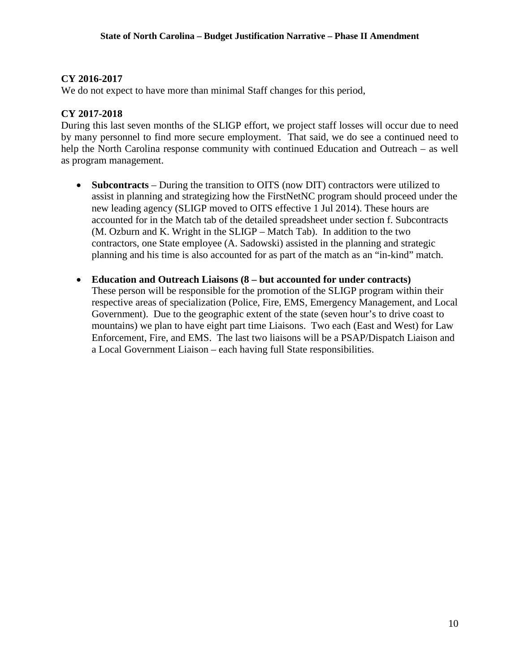#### **CY 2016-2017**

We do not expect to have more than minimal Staff changes for this period,

#### **CY 2017-2018**

During this last seven months of the SLIGP effort, we project staff losses will occur due to need by many personnel to find more secure employment. That said, we do see a continued need to help the North Carolina response community with continued Education and Outreach – as well as program management.

- **Subcontracts** During the transition to OITS (now DIT) contractors were utilized to assist in planning and strategizing how the FirstNetNC program should proceed under the new leading agency (SLIGP moved to OITS effective 1 Jul 2014). These hours are accounted for in the Match tab of the detailed spreadsheet under section f. Subcontracts (M. Ozburn and K. Wright in the SLIGP – Match Tab). In addition to the two contractors, one State employee (A. Sadowski) assisted in the planning and strategic planning and his time is also accounted for as part of the match as an "in-kind" match.
- **Education and Outreach Liaisons (8 but accounted for under contracts)**  These person will be responsible for the promotion of the SLIGP program within their respective areas of specialization (Police, Fire, EMS, Emergency Management, and Local Government). Due to the geographic extent of the state (seven hour's to drive coast to mountains) we plan to have eight part time Liaisons. Two each (East and West) for Law Enforcement, Fire, and EMS. The last two liaisons will be a PSAP/Dispatch Liaison and a Local Government Liaison – each having full State responsibilities.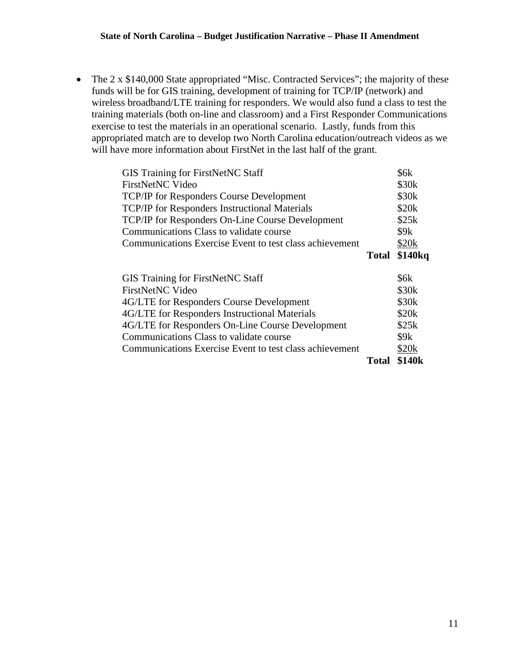• The 2 x \$140,000 State appropriated "Misc. Contracted Services"; the majority of these funds will be for GIS training, development of training for TCP/IP (network) and wireless broadband/LTE training for responders. We would also fund a class to test the training materials (both on-line and classroom) and a First Responder Communications exercise to test the materials in an operational scenario. Lastly, funds from this appropriated match are to develop two North Carolina education/outreach videos as we will have more information about FirstNet in the last half of the grant.

| <b>GIS Training for FirstNetNC Staff</b>                |              | \$6k                |
|---------------------------------------------------------|--------------|---------------------|
| <b>FirstNetNC</b> Video                                 |              | \$30 <sub>k</sub>   |
| <b>TCP/IP for Responders Course Development</b>         |              | \$30 <sub>k</sub>   |
| <b>TCP/IP</b> for Responders Instructional Materials    |              | \$20 <sub>k</sub>   |
| <b>TCP/IP for Responders On-Line Course Development</b> |              | \$25k               |
| Communications Class to validate course                 |              | \$9k                |
| Communications Exercise Event to test class achievement |              | \$20k               |
|                                                         | <b>Total</b> | \$140 <sub>kg</sub> |
|                                                         |              |                     |
|                                                         |              |                     |
| <b>GIS Training for FirstNetNC Staff</b>                |              | \$6k                |
| FirstNetNC Video                                        |              | \$30 <sub>k</sub>   |
| 4G/LTE for Responders Course Development                |              | \$30 <sub>k</sub>   |
| 4G/LTE for Responders Instructional Materials           |              | \$20 <sub>k</sub>   |
| 4G/LTE for Responders On-Line Course Development        |              | \$25k               |
| Communications Class to validate course                 |              | \$9k                |
| Communications Exercise Event to test class achievement |              | \$20k               |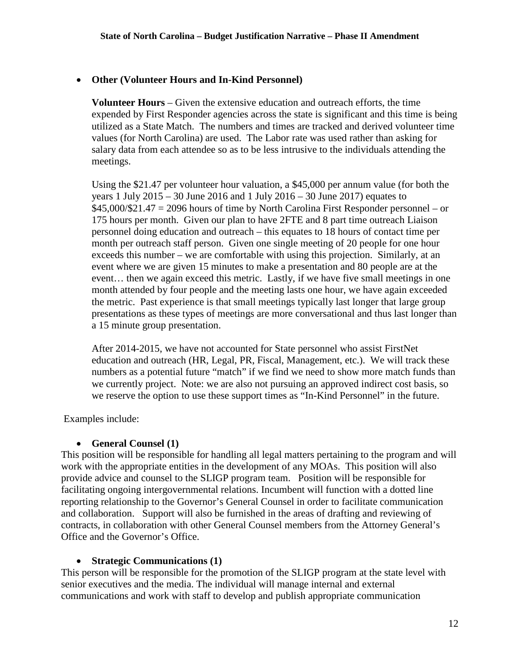#### • **Other (Volunteer Hours and In-Kind Personnel)**

**Volunteer Hours** – Given the extensive education and outreach efforts, the time expended by First Responder agencies across the state is significant and this time is being utilized as a State Match. The numbers and times are tracked and derived volunteer time values (for North Carolina) are used. The Labor rate was used rather than asking for salary data from each attendee so as to be less intrusive to the individuals attending the meetings.

Using the \$21.47 per volunteer hour valuation, a \$45,000 per annum value (for both the years 1 July 2015 – 30 June 2016 and 1 July 2016 – 30 June 2017) equates to  $$45,000/\$21.47 = 2096$  hours of time by North Carolina First Responder personnel – or 175 hours per month. Given our plan to have 2FTE and 8 part time outreach Liaison personnel doing education and outreach – this equates to 18 hours of contact time per month per outreach staff person. Given one single meeting of 20 people for one hour exceeds this number – we are comfortable with using this projection. Similarly, at an event where we are given 15 minutes to make a presentation and 80 people are at the event… then we again exceed this metric. Lastly, if we have five small meetings in one month attended by four people and the meeting lasts one hour, we have again exceeded the metric. Past experience is that small meetings typically last longer that large group presentations as these types of meetings are more conversational and thus last longer than a 15 minute group presentation.

After 2014-2015, we have not accounted for State personnel who assist FirstNet education and outreach (HR, Legal, PR, Fiscal, Management, etc.). We will track these numbers as a potential future "match" if we find we need to show more match funds than we currently project. Note: we are also not pursuing an approved indirect cost basis, so we reserve the option to use these support times as "In-Kind Personnel" in the future.

Examples include:

#### • **General Counsel (1)**

This position will be responsible for handling all legal matters pertaining to the program and will work with the appropriate entities in the development of any MOAs. This position will also provide advice and counsel to the SLIGP program team. Position will be responsible for facilitating ongoing intergovernmental relations. Incumbent will function with a dotted line reporting relationship to the Governor's General Counsel in order to facilitate communication and collaboration. Support will also be furnished in the areas of drafting and reviewing of contracts, in collaboration with other General Counsel members from the Attorney General's Office and the Governor's Office.

#### • **Strategic Communications (1)**

This person will be responsible for the promotion of the SLIGP program at the state level with senior executives and the media. The individual will manage internal and external communications and work with staff to develop and publish appropriate communication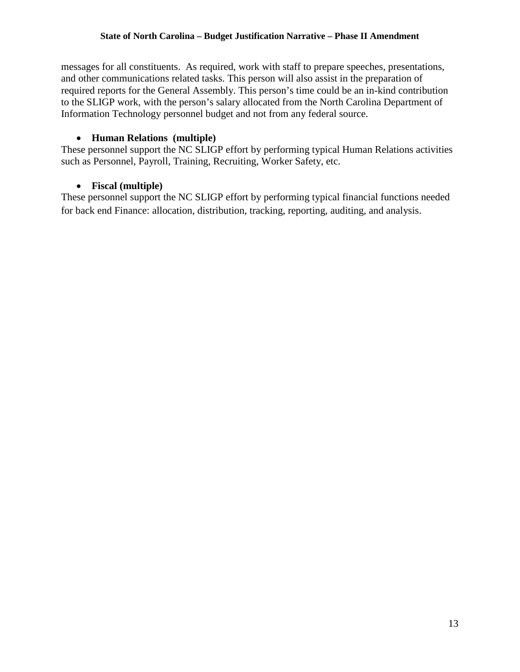messages for all constituents. As required, work with staff to prepare speeches, presentations, and other communications related tasks. This person will also assist in the preparation of required reports for the General Assembly. This person's time could be an in-kind contribution to the SLIGP work, with the person's salary allocated from the North Carolina Department of Information Technology personnel budget and not from any federal source.

#### • **Human Relations (multiple)**

These personnel support the NC SLIGP effort by performing typical Human Relations activities such as Personnel, Payroll, Training, Recruiting, Worker Safety, etc.

### • **Fiscal (multiple)**

These personnel support the NC SLIGP effort by performing typical financial functions needed for back end Finance: allocation, distribution, tracking, reporting, auditing, and analysis.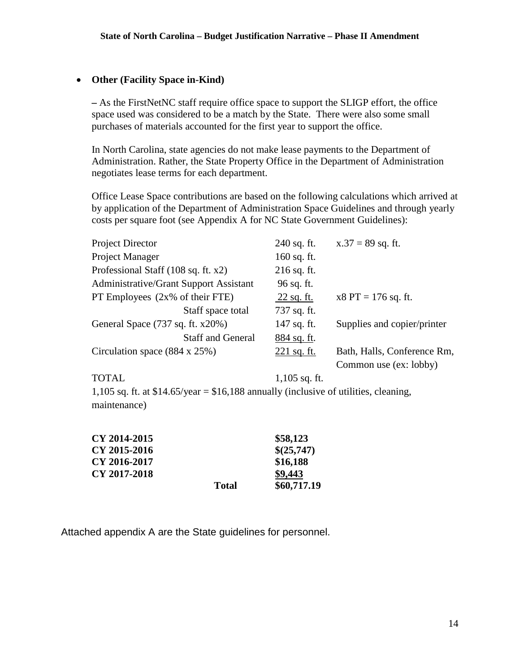#### • **Other (Facility Space in-Kind)**

**–** As the FirstNetNC staff require office space to support the SLIGP effort, the office space used was considered to be a match by the State. There were also some small purchases of materials accounted for the first year to support the office.

In North Carolina, state agencies do not make lease payments to the Department of Administration. Rather, the State Property Office in the Department of Administration negotiates lease terms for each department.

Office Lease Space contributions are based on the following calculations which arrived at by application of the Department of Administration Space Guidelines and through yearly costs per square foot (see Appendix A for NC State Government Guidelines):

| <b>Project Director</b>                       | 240 sq. ft.   | $x.37 = 89$ sq. ft.         |
|-----------------------------------------------|---------------|-----------------------------|
| Project Manager                               | $160$ sq. ft. |                             |
| Professional Staff (108 sq. ft. x2)           | $216$ sq. ft. |                             |
| <b>Administrative/Grant Support Assistant</b> | 96 sq. ft.    |                             |
| PT Employees $(2x\% \text{ of their FTE})$    | 22 sq. ft.    | $x8 PT = 176 sq. ft.$       |
| Staff space total                             | 737 sq. ft.   |                             |
| General Space (737 sq. ft. x20%)              | 147 sq. ft.   | Supplies and copier/printer |
| <b>Staff and General</b>                      | $884$ sq. ft. |                             |
| Circulation space $(884 \times 25\%)$         | $221$ sq. ft. | Bath, Halls, Conference Rm, |
|                                               |               | Common use (ex: lobby)      |
|                                               |               |                             |

TOTAL 1,105 sq. ft. 1,105 sq. ft. at  $$14.65/year = $16,188$  annually (inclusive of utilities, cleaning, maintenance)

| CY 2014-2015 |              | \$58,123    |
|--------------|--------------|-------------|
| CY 2015-2016 |              | \$(25,747)  |
| CY 2016-2017 |              | \$16,188    |
| CY 2017-2018 |              | \$9,443     |
|              | <b>Total</b> | \$60,717.19 |

Attached appendix A are the State guidelines for personnel.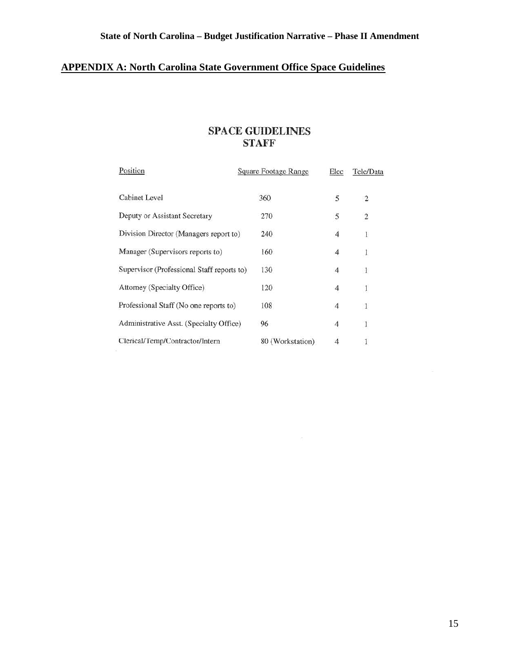## **APPENDIX A: North Carolina State Government Office Space Guidelines**

### **SPACE GUIDELINES STAFF**

| Position                                   | Square Footage Range | Elec           | Tele/Data               |  |
|--------------------------------------------|----------------------|----------------|-------------------------|--|
| <b>Cabinet Level</b>                       | 360                  | 5              | $\overline{c}$          |  |
| Deputy or Assistant Secretary              | 270                  | 5              | $\overline{\mathbf{c}}$ |  |
| Division Director (Managers report to)     | 240                  | $\overline{4}$ | 1                       |  |
| Manager (Supervisors reports to)           | 160                  | 4              | $\mathbf{1}$            |  |
| Supervisor (Professional Staff reports to) | 130                  | 4              | 1                       |  |
| Attorney (Specialty Office)                | 120                  | 4              | $\,1$                   |  |
| Professional Staff (No one reports to)     | 108                  | 4              | 1                       |  |
| Administrative Asst. (Specialty Office)    | 96                   | 4              | 1                       |  |
| Clerical/Temp/Contractor/Intern            | 80 (Workstation)     |                |                         |  |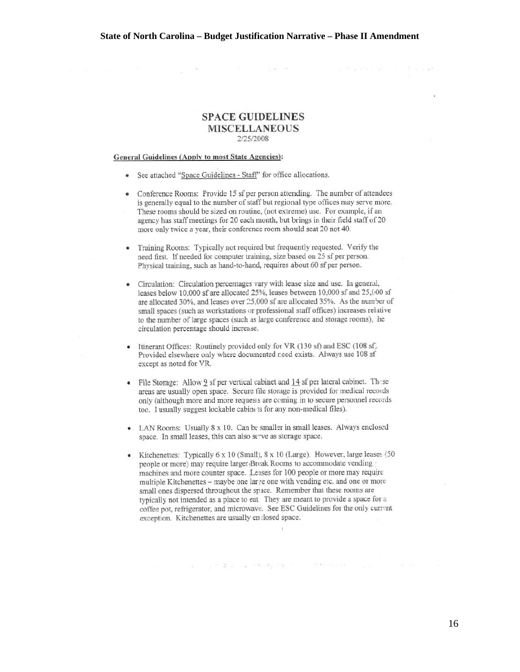$\alpha$  with  $\beta$ 

ਾ ਚੁਣੌਰਦ ਕਰਦਿੰ ਕੁੱਤ ਸੁਣਵੇਂ

#### **SPACE GUIDELINES MISCELLANEOUS**  2/25/2008

#### General Guidelines (Annlv to most State Agencies):

- See attached "Soace Guidelines Staff' for office allocations.
- Conference Rooms: Provide 15 sf per person attending. The number of attendees is generally equal to the number of staff but regional type offices may serve more. These rooms should be sized on routine, (not extreme) use. For example, if an agency has staff meetings for 20 each month, but brings in their field staff of 20 more only twice a year, their conference room should seat 20 not 40.
- Training Rooms: Typically not required but frequently requested. Verify the need first. tf needed for computer training, size based on 25 sf per person. Physical training, such as hand-to-hand, requires about 60 sf per person.
- Circulation: Circulation percentages vary with lease size and use. In general, leases below 10,000 sf are allocated 25%, leases between 10,000 sf and 25,000 sf are allocated 30%, and leases over 25,000 sf are allocated 35%. As the number of small spaces (such as workstations or professional staff offices) increases relative to the number of large spaces (such as large conference and storage rooms), he circulation percentage should increase.
- Itinerant Offices: Routinely provided only for VR (130 sf) and ESC (108 sf). Provided elsewhere only where documented r.eed exists. Always use 108 sf except as noted for VR.
- File Storage: Allow  $9$  sf per vertical cabinet and  $14$  sf per lateral cabinet. These areas are usually open space. Secure tile storage is provided for medical records only (although more and more requests are coming in to secure personnel records too. I usually suggest lockable cabinets for any non-medical files).
- LAN Rooms: Usually 8 x 10. Can be smaller in small leases. Always enclosed space. In small leases, this can also serve as storage space.
- Kitchenettes: Typically  $6 \times 10$  (Small),  $8 \times 10$  (Large). However, large leases (50) people or more) may require larger Bruak Rooms to accommodate vending machines and more counter space. Leases for 100 people or more may require multiple Kitchenettes - maybe one lar re one with vending etc. and one or more small ones dispersed throughout the space. Remember that these rooms are typically not intended as a place to eat They are meant to provide a space for a coffee pot, refrigerator, and microwave. See ESC Guidelines for the only current exception. Kitchenettes are usually en :losed space.

16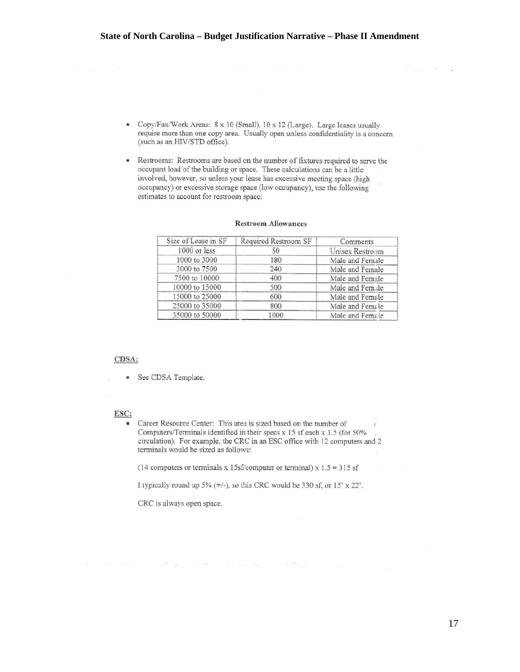- Copy/Fax/Work Areas: 8 x 10 (Small), 10 x 12 (Large). Large leases usually require more than one copy area. Usually open unless confidentiality is a concern (such as an HIV/STD office).
- Restrooms: Restrooms are based on the munber of fixtures required to serve the occupant load of the building or space. These calculations can be a little involved, however, so unless your lease has excessive meeting space (high occupancy) or excessive storage space (low occupancy), use the following estimates to account for restroom space:

| Size of Lease in SF | Required Restroom SF | Comments        |
|---------------------|----------------------|-----------------|
| 1000 or less        | 50                   | Unisex Restroom |
| 1000 to 3000        | 180                  | Male and Female |
| 3000 to 7500        | 240                  | Male and Female |
| 7500 to 10000       | 400                  | Male and Female |
| 10000 to 15000      | 500                  | Male and Female |
| 15000 to 25000      | 600                  | Male and Female |
| 25000 to 35000      | 800                  | Male and Female |
| 35000 to 50000      | 1000                 | Male and Female |

#### Restroom Allowances

#### CDSA:

• See CDSA Template.

#### RSC:

Career Resource Center: This area is sized based on the number of Ť. Computers/Terminals identified in their specs x 15 sf each x 1.5 (for 50% circulation). For example, the CRC in an ESC office with 12 computers and 2 terminals would be sized as follows:

(14 computers or terminals x 15s $f$ /computer or terminal) x 1.5 = 315 sf

I typically round up  $5\%$  ( $+/-$ ), so this CRC would be 330 sf, or  $15' \times 22'$ .

de dies : poderge er am d<sup>e</sup> Sperios i e-Anger o su

CRC is always open space.

**Mariana** Car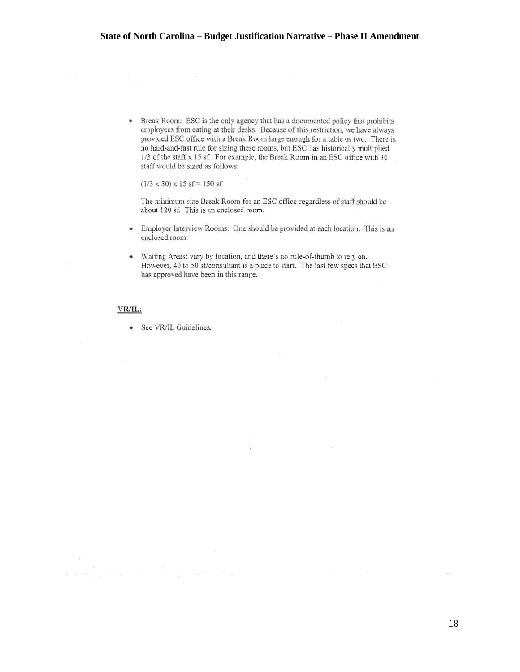• Break Room: ESC is the only agency that has a documented policy that prohibits employees from eating at their desks. Because of this restriction, we have always provided ESC office with a Break Room large enough for a table or two. There is no hard-and-fast ntle for sizing these rooms, but ESC has historically multiplied 1/3 of the staffx 15 sf. For example, the Break Room in an ESC office with 30 staff would be sized as follows:

 $(1/3 \times 30) \times 15$  sf = 150 sf

The *minimum* size Break Room for an ESC office regardless of staff should be about l20 sf. This is an enclosed room.

- Employer Interview Rooms: One should be provided at each location. This is an enclosed room.
- Waiting Areas: vary by location, and there's no rule-of-thumb to rely on. However, 40 to 50 sf/consultant is a place to start. The last few specs that ESC has approved have been in this range.

ş

ден жабылдан шатын к

 $\sim$ 

#### VR/IL:

 $x = 323 - 6$ 

• *See* VRJIL Guidelines.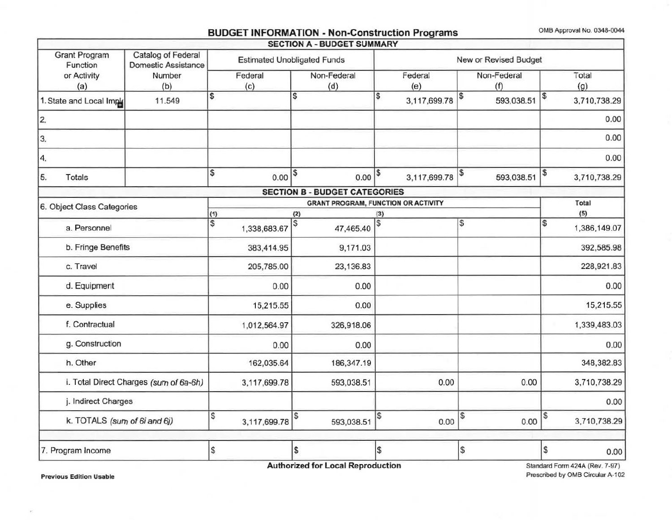## BUDGET INFORMATION - Non-Construction Programs OMB Approval No. 0348-0044

|                                        |                                                  |           |                |                                    | <b>SECTION A - BUDGET SUMMARY</b>          |                |                       |                    |            |                       |              |
|----------------------------------------|--------------------------------------------------|-----------|----------------|------------------------------------|--------------------------------------------|----------------|-----------------------|--------------------|------------|-----------------------|--------------|
| <b>Grant Program</b><br>Function       | Catalog of Federal<br><b>Domestic Assistance</b> |           |                | <b>Estimated Unobligated Funds</b> |                                            |                | New or Revised Budget |                    |            |                       |              |
| or Activity<br>(a)                     | Number<br>(b)                                    |           | Federal<br>(c) | Non-Federal<br>(d)                 |                                            | Federal<br>(e) |                       | Non-Federal<br>(f) |            |                       | Total<br>(g) |
| 1. State and Local Impl                | 11.549                                           | \$        |                | \$                                 |                                            | \$             | 3,117,699.78          | $\frac{3}{2}$      | 593,038.51 | $\boldsymbol{\theta}$ | 3,710,738.29 |
| 2.                                     |                                                  |           |                |                                    |                                            |                |                       |                    |            |                       | 0.00         |
| 3.                                     |                                                  |           |                |                                    |                                            |                |                       |                    |            |                       | 0.00         |
| 4.                                     |                                                  |           |                |                                    |                                            |                |                       |                    |            |                       | 0.00         |
| 5.<br>Totals                           |                                                  | \$        | $0.00$ $ $     |                                    | 0.00                                       | \$             | 3,117,699.78          | \$                 | 593,038.51 | \$                    | 3,710,738.29 |
|                                        |                                                  |           |                |                                    | <b>SECTION B - BUDGET CATEGORIES</b>       |                |                       |                    |            |                       |              |
| 6. Object Class Categories             |                                                  |           |                |                                    | <b>GRANT PROGRAM, FUNCTION OR ACTIVITY</b> |                |                       |                    |            |                       | Total        |
|                                        |                                                  | (1)<br>\$ |                | (2)<br>\$                          |                                            | (3)            |                       | \$                 |            | \$                    | (5)          |
| a. Personnel                           |                                                  |           | 1,338,683.67   |                                    | 47,465.40                                  |                |                       |                    |            |                       | 1,386,149.07 |
| b. Fringe Benefits                     |                                                  |           | 383,414.95     |                                    | 9,171.03                                   |                |                       |                    |            |                       | 392,585.98   |
| c. Travel                              |                                                  |           | 205,785.00     |                                    | 23,136.83                                  |                |                       |                    |            |                       | 228,921.83   |
| d. Equipment                           |                                                  |           | 0.00           |                                    | 0.00                                       |                |                       |                    |            |                       | 0.00         |
| e. Supplies                            |                                                  |           | 15,215.55      |                                    | 0.00                                       |                |                       |                    |            |                       | 15,215.55    |
| f. Contractual                         |                                                  |           | 1,012,564.97   |                                    | 326,918.06                                 |                |                       |                    |            |                       | 1,339,483.03 |
| g. Construction                        |                                                  |           | 0.00           |                                    | 0.00                                       |                |                       |                    |            |                       | 0.00         |
| h. Other                               |                                                  |           | 162,035.64     |                                    | 186,347.19                                 |                |                       |                    |            |                       | 348,382.83   |
| i. Total Direct Charges (sum of 6a-6h) |                                                  |           | 3,117,699.78   |                                    | 593,038.51                                 |                | 0.00                  |                    | 0.00       |                       | 3,710,738.29 |
| j. Indirect Charges                    |                                                  |           |                |                                    |                                            |                |                       |                    |            |                       | 0.00         |
| k. TOTALS (sum of 6i and 6j)           |                                                  | S         | 3,117,699.78   | S                                  | 593,038.51                                 | l\$            | 0.00                  | \$                 | 0.00       | \$                    | 3,710,738.29 |
| 7. Program Income                      |                                                  | <b>S</b>  |                | 5                                  |                                            | \$             |                       | \$                 |            | \$                    | 0.00         |

Authorized for Local Reproduction

Standard Form 424A (Rev. 7-97) Prescribed by OMB Circular A-102

Previous Edition Usable

 $\left( \mathbf{r}\right)$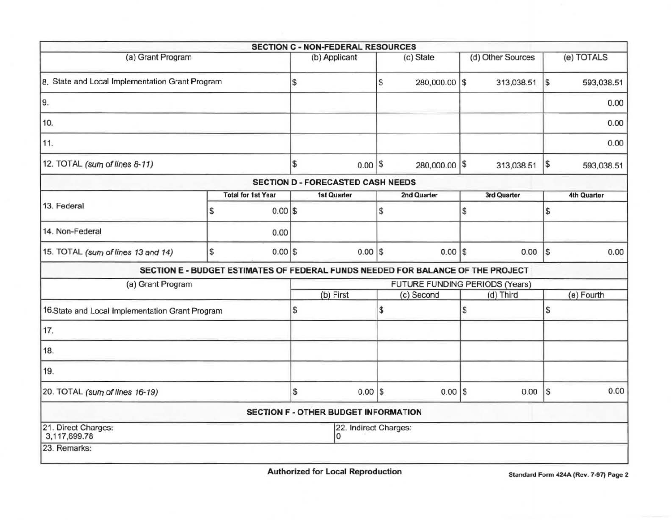|                                                 |   |                                             |                                | <b>SECTION C - NON-FEDERAL RESOURCES</b> |    |                                                                                 |    |                   |                   |                    |
|-------------------------------------------------|---|---------------------------------------------|--------------------------------|------------------------------------------|----|---------------------------------------------------------------------------------|----|-------------------|-------------------|--------------------|
| (a) Grant Program                               |   |                                             |                                | (b) Applicant                            |    | (c) State                                                                       |    | (d) Other Sources |                   | (e) TOTALS         |
| 8. State and Local Implementation Grant Program |   |                                             | <sub>S</sub>                   |                                          | \$ | 280,000.00 \$                                                                   |    | 313,038.51        | l\$               | 593,038.51         |
| 9.                                              |   |                                             |                                |                                          |    |                                                                                 |    |                   |                   | 0.00               |
| 10.                                             |   |                                             |                                |                                          |    |                                                                                 |    |                   |                   | 0.00               |
| 11.                                             |   |                                             |                                |                                          |    |                                                                                 |    |                   |                   | 0.00               |
| 12. TOTAL (sum of lines 8-11)                   |   |                                             | $\mathfrak s$                  | $0.00$ $\sqrt{\$}$                       |    | 280,000.00 \$                                                                   |    | 313,038.51        | \$                | 593,038.51         |
|                                                 |   |                                             |                                | <b>SECTION D - FORECASTED CASH NEEDS</b> |    |                                                                                 |    |                   |                   |                    |
|                                                 |   | <b>Total for 1st Year</b>                   |                                | <b>1st Quarter</b>                       |    | 2nd Quarter                                                                     |    | 3rd Quarter       |                   | <b>4th Quarter</b> |
| 13. Federal                                     | S | $0.00$ \$                                   |                                |                                          | \$ |                                                                                 | \$ |                   | \$                |                    |
| 14. Non-Federal                                 |   | 0.00                                        |                                |                                          |    |                                                                                 |    |                   |                   |                    |
| 15. TOTAL (sum of lines 13 and 14)              | S | $0.00$ \$                                   |                                | $0.00$ \$                                |    | $0.00$ \\$                                                                      |    | 0.00              | $\lvert s \rvert$ | 0.00               |
|                                                 |   |                                             |                                |                                          |    | SECTION E - BUDGET ESTIMATES OF FEDERAL FUNDS NEEDED FOR BALANCE OF THE PROJECT |    |                   |                   |                    |
| (a) Grant Program                               |   |                                             | FUTURE FUNDING PERIODS (Years) |                                          |    |                                                                                 |    |                   |                   |                    |
|                                                 |   |                                             |                                | (b) First                                |    | (c) Second                                                                      |    | (d) Third         |                   | (e) Fourth         |
| 16.State and Local Implementation Grant Program |   |                                             | \$                             |                                          | \$ |                                                                                 | \$ |                   | \$                |                    |
| 17.                                             |   |                                             |                                |                                          |    |                                                                                 |    |                   |                   |                    |
| 18.                                             |   |                                             |                                |                                          |    |                                                                                 |    |                   |                   |                    |
| 19.                                             |   |                                             |                                |                                          |    |                                                                                 |    |                   |                   |                    |
| 20. TOTAL (sum of lines 16-19)                  |   |                                             | \$                             | $0.00$ \$                                |    | $0.00$ \\$                                                                      |    | 0.00              | <sub>s</sub>      | 0.00               |
|                                                 |   | <b>SECTION F - OTHER BUDGET INFORMATION</b> |                                |                                          |    |                                                                                 |    |                   |                   |                    |
| 21. Direct Charges:<br>3,117,699.78             |   |                                             |                                | 22. Indirect Charges:<br>$\mathbf{0}$    |    |                                                                                 |    |                   |                   |                    |
| 23. Remarks:                                    |   |                                             |                                |                                          |    |                                                                                 |    |                   |                   |                    |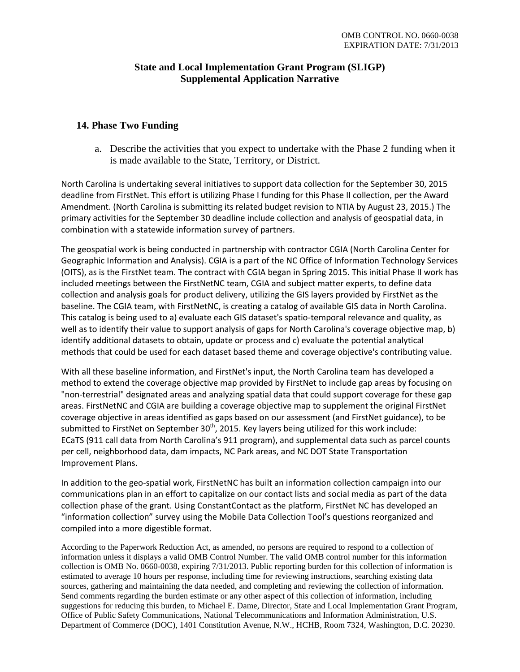#### **State and Local Implementation Grant Program (SLIGP) Supplemental Application Narrative**

#### **14. Phase Two Funding**

a. Describe the activities that you expect to undertake with the Phase 2 funding when it is made available to the State, Territory, or District.

North Carolina is undertaking several initiatives to support data collection for the September 30, 2015 deadline from FirstNet. This effort is utilizing Phase I funding for this Phase II collection, per the Award Amendment. (North Carolina is submitting its related budget revision to NTIA by August 23, 2015.) The primary activities for the September 30 deadline include collection and analysis of geospatial data, in combination with a statewide information survey of partners.

The geospatial work is being conducted in partnership with contractor CGIA (North Carolina Center for Geographic Information and Analysis). CGIA is a part of the NC Office of Information Technology Services (OITS), as is the FirstNet team. The contract with CGIA began in Spring 2015. This initial Phase II work has included meetings between the FirstNetNC team, CGIA and subject matter experts, to define data collection and analysis goals for product delivery, utilizing the GIS layers provided by FirstNet as the baseline. The CGIA team, with FirstNetNC, is creating a catalog of available GIS data in North Carolina. This catalog is being used to a) evaluate each GIS dataset's spatio-temporal relevance and quality, as well as to identify their value to support analysis of gaps for North Carolina's coverage objective map, b) identify additional datasets to obtain, update or process and c) evaluate the potential analytical methods that could be used for each dataset based theme and coverage objective's contributing value.

With all these baseline information, and FirstNet's input, the North Carolina team has developed a method to extend the coverage objective map provided by FirstNet to include gap areas by focusing on "non-terrestrial" designated areas and analyzing spatial data that could support coverage for these gap areas. FirstNetNC and CGIA are building a coverage objective map to supplement the original FirstNet coverage objective in areas identified as gaps based on our assessment (and FirstNet guidance), to be submitted to FirstNet on September 30<sup>th</sup>, 2015. Key layers being utilized for this work include: ECaTS (911 call data from North Carolina's 911 program), and supplemental data such as parcel counts per cell, neighborhood data, dam impacts, NC Park areas, and NC DOT State Transportation Improvement Plans.

In addition to the geo-spatial work, FirstNetNC has built an information collection campaign into our communications plan in an effort to capitalize on our contact lists and social media as part of the data collection phase of the grant. Using ConstantContact as the platform, FirstNet NC has developed an "information collection" survey using the Mobile Data Collection Tool's questions reorganized and compiled into a more digestible format.

According to the Paperwork Reduction Act, as amended, no persons are required to respond to a collection of information unless it displays a valid OMB Control Number. The valid OMB control number for this information collection is OMB No. 0660-0038, expiring 7/31/2013. Public reporting burden for this collection of information is estimated to average 10 hours per response, including time for reviewing instructions, searching existing data sources, gathering and maintaining the data needed, and completing and reviewing the collection of information. Send comments regarding the burden estimate or any other aspect of this collection of information, including suggestions for reducing this burden, to Michael E. Dame, Director, State and Local Implementation Grant Program, Office of Public Safety Communications, National Telecommunications and Information Administration, U.S. Department of Commerce (DOC), 1401 Constitution Avenue, N.W., HCHB, Room 7324, Washington, D.C. 20230.